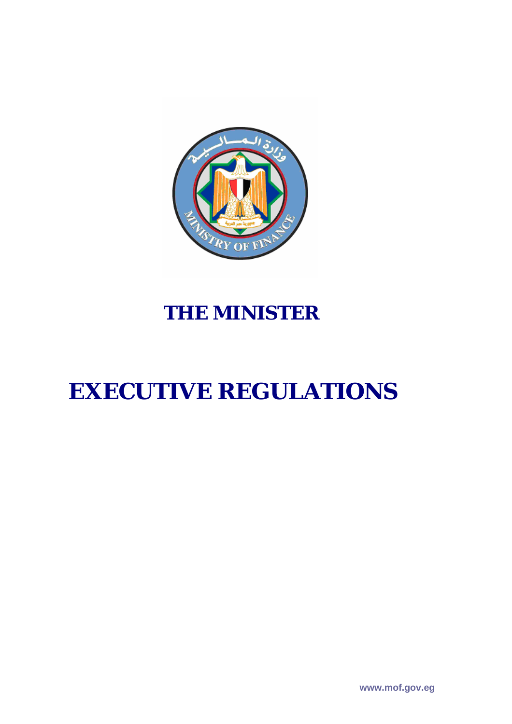

# **THE MINISTER**

# **EXECUTIVE REGULATIONS**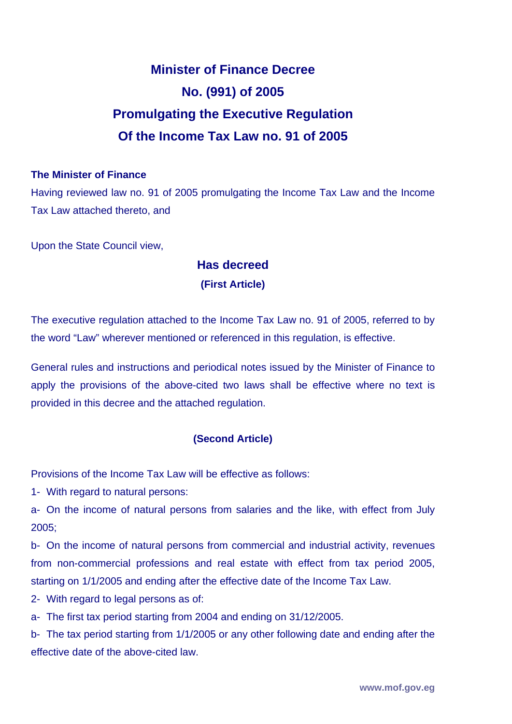## **Minister of Finance Decree No. (991) of 2005 Promulgating the Executive Regulation Of the Income Tax Law no. 91 of 2005**

### **The Minister of Finance**

Having reviewed law no. 91 of 2005 promulgating the Income Tax Law and the Income Tax Law attached thereto, and

Upon the State Council view,

## **Has decreed (First Article)**

The executive regulation attached to the Income Tax Law no. 91 of 2005, referred to by the word "Law" wherever mentioned or referenced in this regulation, is effective.

General rules and instructions and periodical notes issued by the Minister of Finance to apply the provisions of the above-cited two laws shall be effective where no text is provided in this decree and the attached regulation.

## **(Second Article)**

Provisions of the Income Tax Law will be effective as follows:

1- With regard to natural persons:

a- On the income of natural persons from salaries and the like, with effect from July 2005;

b- On the income of natural persons from commercial and industrial activity, revenues from non-commercial professions and real estate with effect from tax period 2005, starting on 1/1/2005 and ending after the effective date of the Income Tax Law.

2- With regard to legal persons as of:

a- The first tax period starting from 2004 and ending on 31/12/2005.

b- The tax period starting from 1/1/2005 or any other following date and ending after the effective date of the above-cited law.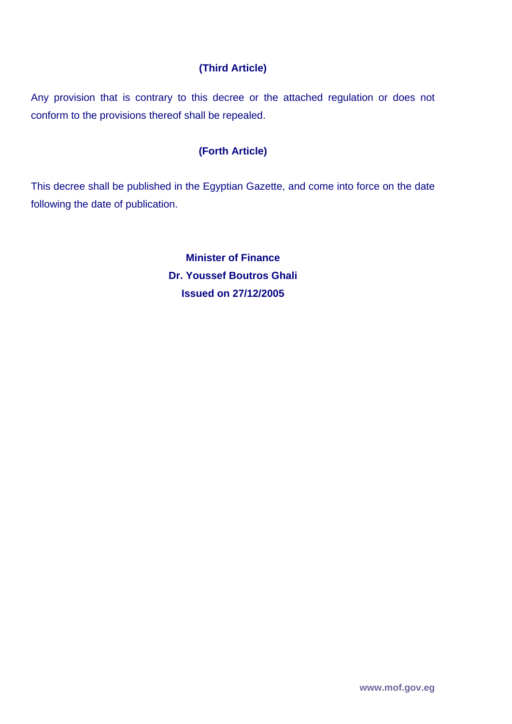## **(Third Article)**

Any provision that is contrary to this decree or the attached regulation or does not conform to the provisions thereof shall be repealed.

## **(Forth Article)**

This decree shall be published in the Egyptian Gazette, and come into force on the date following the date of publication.

> **Minister of Finance Dr. Youssef Boutros Ghali Issued on 27/12/2005**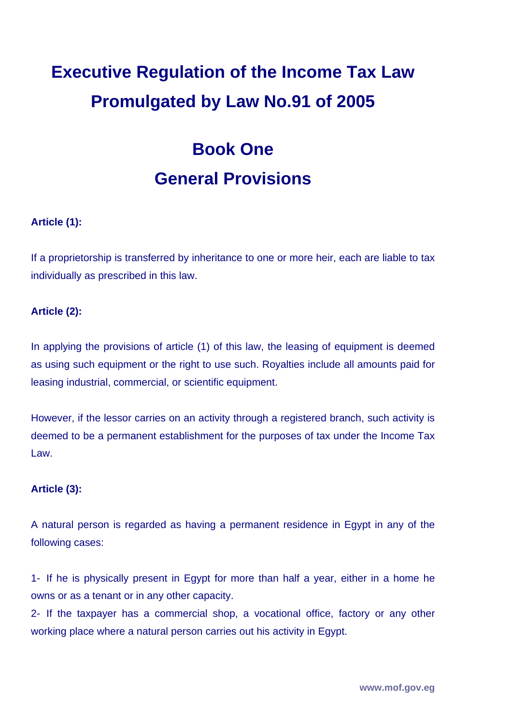# **Executive Regulation of the Income Tax Law Promulgated by Law No.91 of 2005**

# **Book One General Provisions**

## **Article (1):**

If a proprietorship is transferred by inheritance to one or more heir, each are liable to tax individually as prescribed in this law.

### **Article (2):**

In applying the provisions of article (1) of this law, the leasing of equipment is deemed as using such equipment or the right to use such. Royalties include all amounts paid for leasing industrial, commercial, or scientific equipment.

However, if the lessor carries on an activity through a registered branch, such activity is deemed to be a permanent establishment for the purposes of tax under the Income Tax Law.

#### **Article (3):**

A natural person is regarded as having a permanent residence in Egypt in any of the following cases:

1- If he is physically present in Egypt for more than half a year, either in a home he owns or as a tenant or in any other capacity.

2- If the taxpayer has a commercial shop, a vocational office, factory or any other working place where a natural person carries out his activity in Egypt.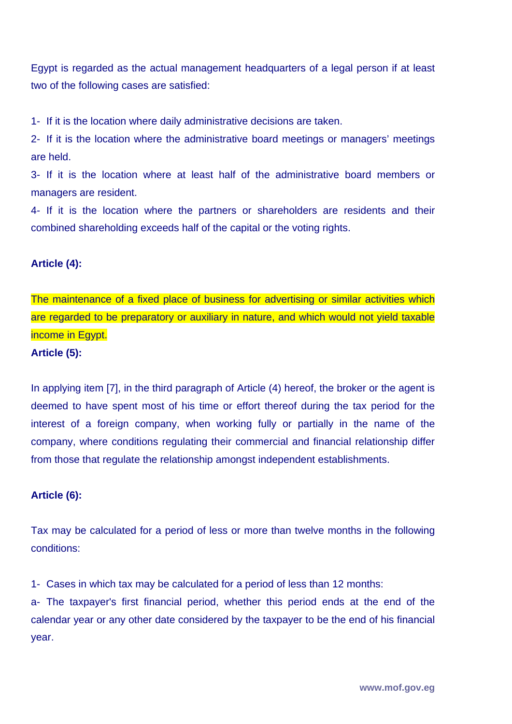Egypt is regarded as the actual management headquarters of a legal person if at least two of the following cases are satisfied:

1- If it is the location where daily administrative decisions are taken.

2- If it is the location where the administrative board meetings or managers' meetings are held.

3- If it is the location where at least half of the administrative board members or managers are resident.

4- If it is the location where the partners or shareholders are residents and their combined shareholding exceeds half of the capital or the voting rights.

### **Article (4):**

The maintenance of a fixed place of business for advertising or similar activities which are regarded to be preparatory or auxiliary in nature, and which would not yield taxable income in Egypt. **Article (5):** 

In applying item [7], in the third paragraph of Article (4) hereof, the broker or the agent is deemed to have spent most of his time or effort thereof during the tax period for the interest of a foreign company, when working fully or partially in the name of the company, where conditions regulating their commercial and financial relationship differ from those that regulate the relationship amongst independent establishments.

## **Article (6):**

Tax may be calculated for a period of less or more than twelve months in the following conditions:

1- Cases in which tax may be calculated for a period of less than 12 months:

a- The taxpayer's first financial period, whether this period ends at the end of the calendar year or any other date considered by the taxpayer to be the end of his financial year.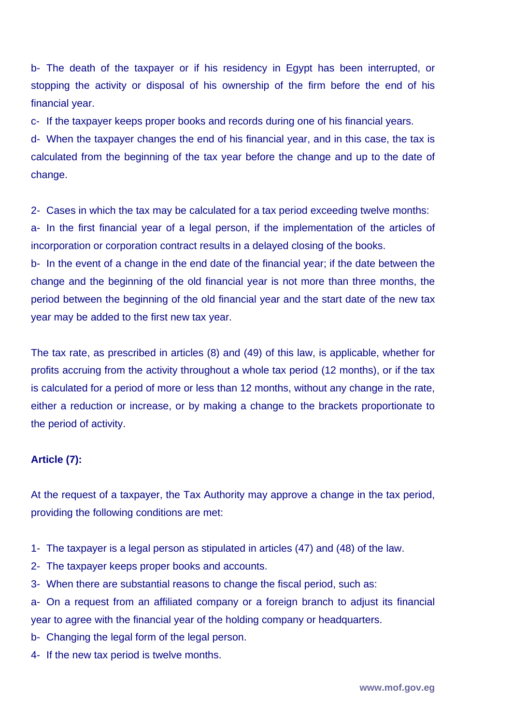b- The death of the taxpayer or if his residency in Egypt has been interrupted, or stopping the activity or disposal of his ownership of the firm before the end of his financial year.

c- If the taxpayer keeps proper books and records during one of his financial years.

d- When the taxpayer changes the end of his financial year, and in this case, the tax is calculated from the beginning of the tax year before the change and up to the date of change.

2- Cases in which the tax may be calculated for a tax period exceeding twelve months:

a- In the first financial year of a legal person, if the implementation of the articles of incorporation or corporation contract results in a delayed closing of the books.

b- In the event of a change in the end date of the financial year; if the date between the change and the beginning of the old financial year is not more than three months, the period between the beginning of the old financial year and the start date of the new tax year may be added to the first new tax year.

The tax rate, as prescribed in articles (8) and (49) of this law, is applicable, whether for profits accruing from the activity throughout a whole tax period (12 months), or if the tax is calculated for a period of more or less than 12 months, without any change in the rate, either a reduction or increase, or by making a change to the brackets proportionate to the period of activity.

### **Article (7):**

At the request of a taxpayer, the Tax Authority may approve a change in the tax period, providing the following conditions are met:

- 1- The taxpayer is a legal person as stipulated in articles (47) and (48) of the law.
- 2- The taxpayer keeps proper books and accounts.
- 3- When there are substantial reasons to change the fiscal period, such as:

a- On a request from an affiliated company or a foreign branch to adjust its financial year to agree with the financial year of the holding company or headquarters.

- b- Changing the legal form of the legal person.
- 4- If the new tax period is twelve months.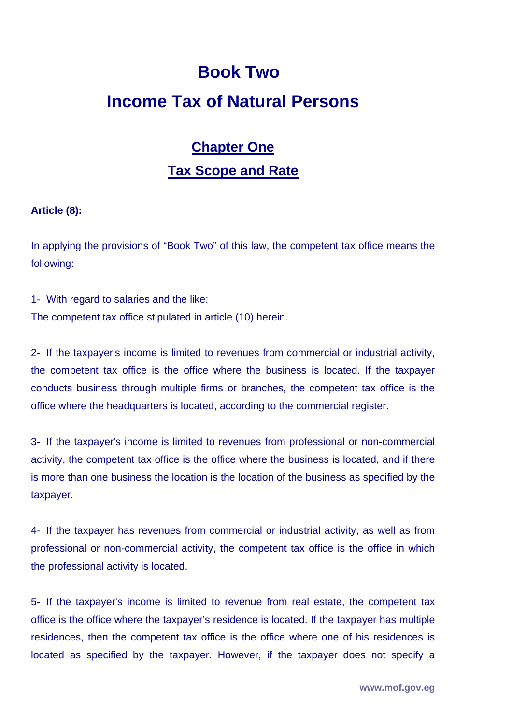# **Book Two Income Tax of Natural Persons**

## **Chapter One Tax Scope and Rate**

## **Article (8):**

In applying the provisions of "Book Two" of this law, the competent tax office means the following:

1- With regard to salaries and the like: The competent tax office stipulated in article (10) herein.

2- If the taxpayer's income is limited to revenues from commercial or industrial activity, the competent tax office is the office where the business is located. If the taxpayer conducts business through multiple firms or branches, the competent tax office is the office where the headquarters is located, according to the commercial register.

3- If the taxpayer's income is limited to revenues from professional or non-commercial activity, the competent tax office is the office where the business is located, and if there is more than one business the location is the location of the business as specified by the taxpayer.

4- If the taxpayer has revenues from commercial or industrial activity, as well as from professional or non-commercial activity, the competent tax office is the office in which the professional activity is located.

5- If the taxpayer's income is limited to revenue from real estate, the competent tax office is the office where the taxpayer's residence is located. If the taxpayer has multiple residences, then the competent tax office is the office where one of his residences is located as specified by the taxpayer. However, if the taxpayer does not specify a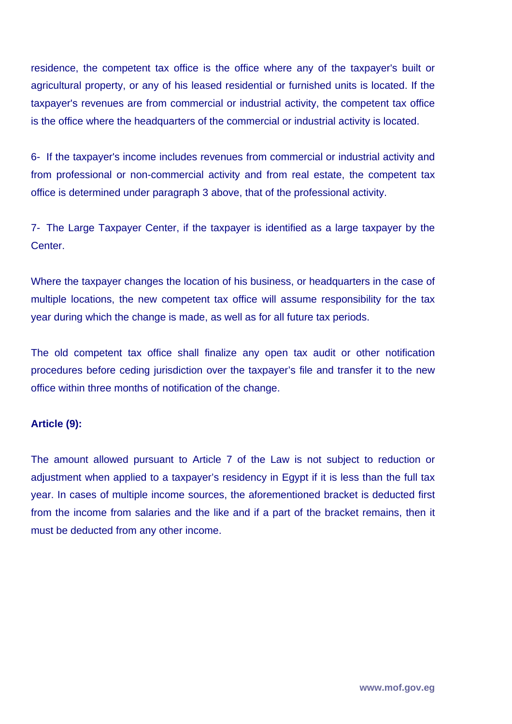residence, the competent tax office is the office where any of the taxpayer's built or agricultural property, or any of his leased residential or furnished units is located. If the taxpayer's revenues are from commercial or industrial activity, the competent tax office is the office where the headquarters of the commercial or industrial activity is located.

6- If the taxpayer's income includes revenues from commercial or industrial activity and from professional or non-commercial activity and from real estate, the competent tax office is determined under paragraph 3 above, that of the professional activity.

7- The Large Taxpayer Center, if the taxpayer is identified as a large taxpayer by the Center.

Where the taxpayer changes the location of his business, or headquarters in the case of multiple locations, the new competent tax office will assume responsibility for the tax year during which the change is made, as well as for all future tax periods.

The old competent tax office shall finalize any open tax audit or other notification procedures before ceding jurisdiction over the taxpayer's file and transfer it to the new office within three months of notification of the change.

#### **Article (9):**

The amount allowed pursuant to Article 7 of the Law is not subject to reduction or adjustment when applied to a taxpayer's residency in Egypt if it is less than the full tax year. In cases of multiple income sources, the aforementioned bracket is deducted first from the income from salaries and the like and if a part of the bracket remains, then it must be deducted from any other income.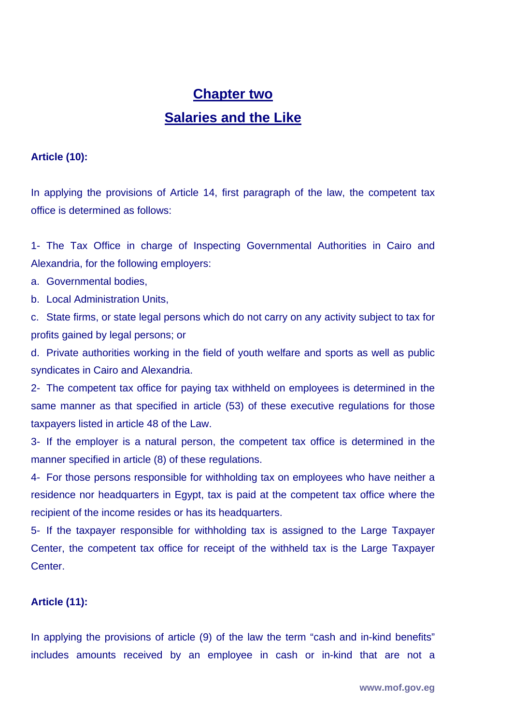## **Chapter two Salaries and the Like**

### **Article (10):**

In applying the provisions of Article 14, first paragraph of the law, the competent tax office is determined as follows:

1- The Tax Office in charge of Inspecting Governmental Authorities in Cairo and Alexandria, for the following employers:

a. Governmental bodies,

b. Local Administration Units,

c. State firms, or state legal persons which do not carry on any activity subject to tax for profits gained by legal persons; or

d. Private authorities working in the field of youth welfare and sports as well as public syndicates in Cairo and Alexandria.

2- The competent tax office for paying tax withheld on employees is determined in the same manner as that specified in article (53) of these executive regulations for those taxpayers listed in article 48 of the Law.

3- If the employer is a natural person, the competent tax office is determined in the manner specified in article (8) of these regulations.

4- For those persons responsible for withholding tax on employees who have neither a residence nor headquarters in Egypt, tax is paid at the competent tax office where the recipient of the income resides or has its headquarters.

5- If the taxpayer responsible for withholding tax is assigned to the Large Taxpayer Center, the competent tax office for receipt of the withheld tax is the Large Taxpayer Center.

#### **Article (11):**

In applying the provisions of article (9) of the law the term "cash and in-kind benefits" includes amounts received by an employee in cash or in-kind that are not a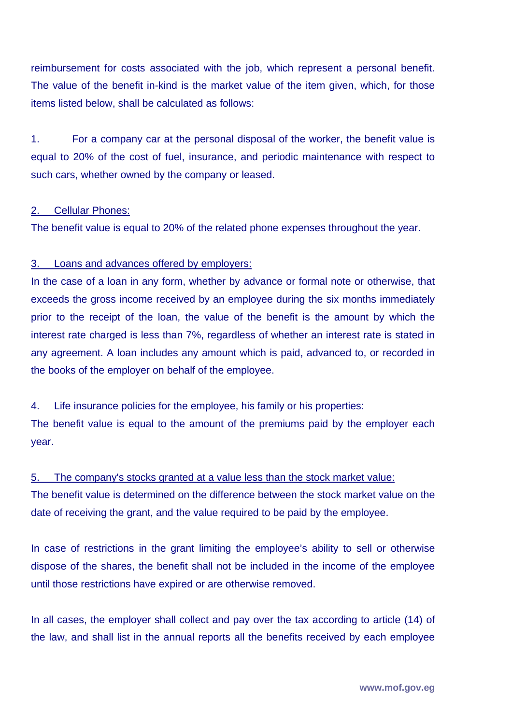reimbursement for costs associated with the job, which represent a personal benefit. The value of the benefit in-kind is the market value of the item given, which, for those items listed below, shall be calculated as follows:

1. For a company car at the personal disposal of the worker, the benefit value is equal to 20% of the cost of fuel, insurance, and periodic maintenance with respect to such cars, whether owned by the company or leased.

#### 2. Cellular Phones:

The benefit value is equal to 20% of the related phone expenses throughout the year.

### 3. Loans and advances offered by employers:

In the case of a loan in any form, whether by advance or formal note or otherwise, that exceeds the gross income received by an employee during the six months immediately prior to the receipt of the loan, the value of the benefit is the amount by which the interest rate charged is less than 7%, regardless of whether an interest rate is stated in any agreement. A loan includes any amount which is paid, advanced to, or recorded in the books of the employer on behalf of the employee.

## 4. Life insurance policies for the employee, his family or his properties:

The benefit value is equal to the amount of the premiums paid by the employer each year.

#### 5. The company's stocks granted at a value less than the stock market value:

The benefit value is determined on the difference between the stock market value on the date of receiving the grant, and the value required to be paid by the employee.

In case of restrictions in the grant limiting the employee's ability to sell or otherwise dispose of the shares, the benefit shall not be included in the income of the employee until those restrictions have expired or are otherwise removed.

In all cases, the employer shall collect and pay over the tax according to article (14) of the law, and shall list in the annual reports all the benefits received by each employee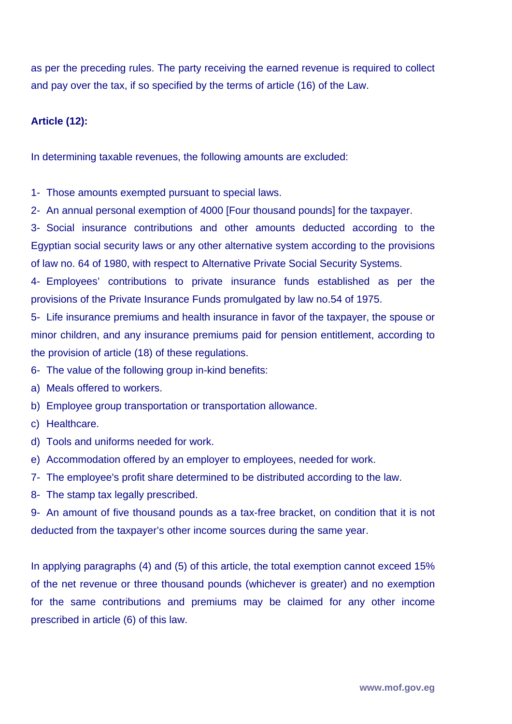as per the preceding rules. The party receiving the earned revenue is required to collect and pay over the tax, if so specified by the terms of article (16) of the Law.

## **Article (12):**

In determining taxable revenues, the following amounts are excluded:

1- Those amounts exempted pursuant to special laws.

2- An annual personal exemption of 4000 [Four thousand pounds] for the taxpayer.

3- Social insurance contributions and other amounts deducted according to the Egyptian social security laws or any other alternative system according to the provisions of law no. 64 of 1980, with respect to Alternative Private Social Security Systems.

4- Employees' contributions to private insurance funds established as per the provisions of the Private Insurance Funds promulgated by law no.54 of 1975.

5- Life insurance premiums and health insurance in favor of the taxpayer, the spouse or minor children, and any insurance premiums paid for pension entitlement, according to the provision of article (18) of these regulations.

6- The value of the following group in-kind benefits:

a) Meals offered to workers.

b) Employee group transportation or transportation allowance.

- c) Healthcare.
- d) Tools and uniforms needed for work.
- e) Accommodation offered by an employer to employees, needed for work.

7- The employee's profit share determined to be distributed according to the law.

8- The stamp tax legally prescribed.

9- An amount of five thousand pounds as a tax-free bracket, on condition that it is not deducted from the taxpayer's other income sources during the same year.

In applying paragraphs (4) and (5) of this article, the total exemption cannot exceed 15% of the net revenue or three thousand pounds (whichever is greater) and no exemption for the same contributions and premiums may be claimed for any other income prescribed in article (6) of this law.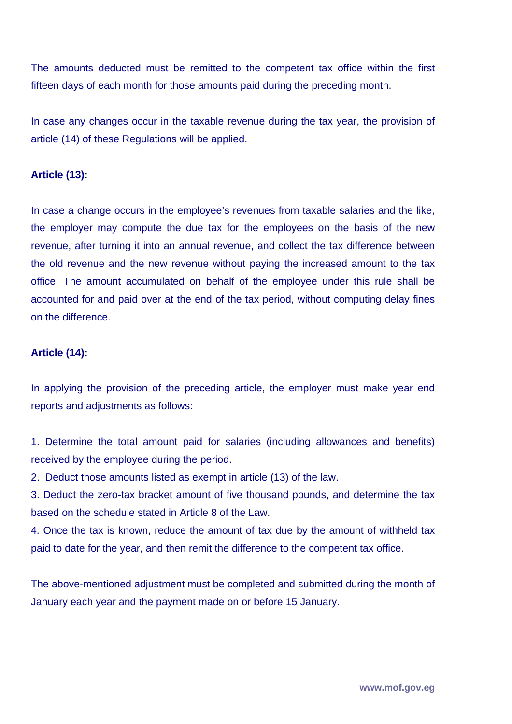The amounts deducted must be remitted to the competent tax office within the first fifteen days of each month for those amounts paid during the preceding month.

In case any changes occur in the taxable revenue during the tax year, the provision of article (14) of these Regulations will be applied.

## **Article (13):**

In case a change occurs in the employee's revenues from taxable salaries and the like, the employer may compute the due tax for the employees on the basis of the new revenue, after turning it into an annual revenue, and collect the tax difference between the old revenue and the new revenue without paying the increased amount to the tax office. The amount accumulated on behalf of the employee under this rule shall be accounted for and paid over at the end of the tax period, without computing delay fines on the difference.

## **Article (14):**

In applying the provision of the preceding article, the employer must make year end reports and adjustments as follows:

1. Determine the total amount paid for salaries (including allowances and benefits) received by the employee during the period.

2. Deduct those amounts listed as exempt in article (13) of the law.

3. Deduct the zero-tax bracket amount of five thousand pounds, and determine the tax based on the schedule stated in Article 8 of the Law.

4. Once the tax is known, reduce the amount of tax due by the amount of withheld tax paid to date for the year, and then remit the difference to the competent tax office.

The above-mentioned adjustment must be completed and submitted during the month of January each year and the payment made on or before 15 January.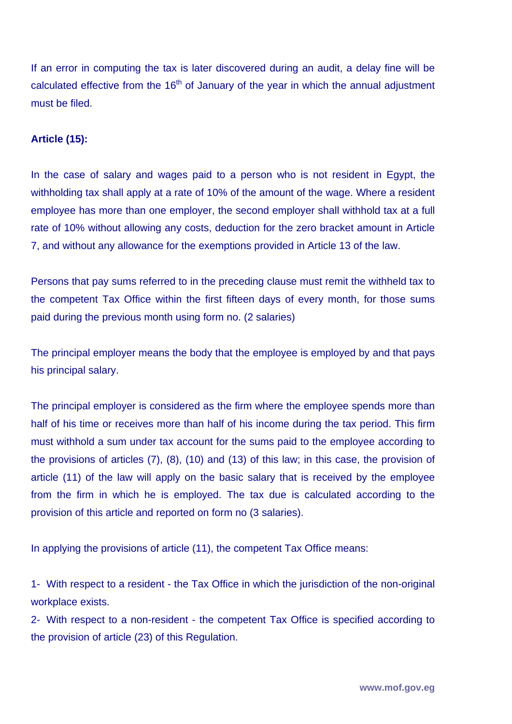If an error in computing the tax is later discovered during an audit, a delay fine will be calculated effective from the  $16<sup>th</sup>$  of January of the year in which the annual adjustment must be filed.

#### **Article (15):**

In the case of salary and wages paid to a person who is not resident in Egypt, the withholding tax shall apply at a rate of 10% of the amount of the wage. Where a resident employee has more than one employer, the second employer shall withhold tax at a full rate of 10% without allowing any costs, deduction for the zero bracket amount in Article 7, and without any allowance for the exemptions provided in Article 13 of the law.

Persons that pay sums referred to in the preceding clause must remit the withheld tax to the competent Tax Office within the first fifteen days of every month, for those sums paid during the previous month using form no. (2 salaries)

The principal employer means the body that the employee is employed by and that pays his principal salary.

The principal employer is considered as the firm where the employee spends more than half of his time or receives more than half of his income during the tax period. This firm must withhold a sum under tax account for the sums paid to the employee according to the provisions of articles (7), (8), (10) and (13) of this law; in this case, the provision of article (11) of the law will apply on the basic salary that is received by the employee from the firm in which he is employed. The tax due is calculated according to the provision of this article and reported on form no (3 salaries).

In applying the provisions of article (11), the competent Tax Office means:

1- With respect to a resident - the Tax Office in which the jurisdiction of the non-original workplace exists.

2- With respect to a non-resident - the competent Tax Office is specified according to the provision of article (23) of this Regulation.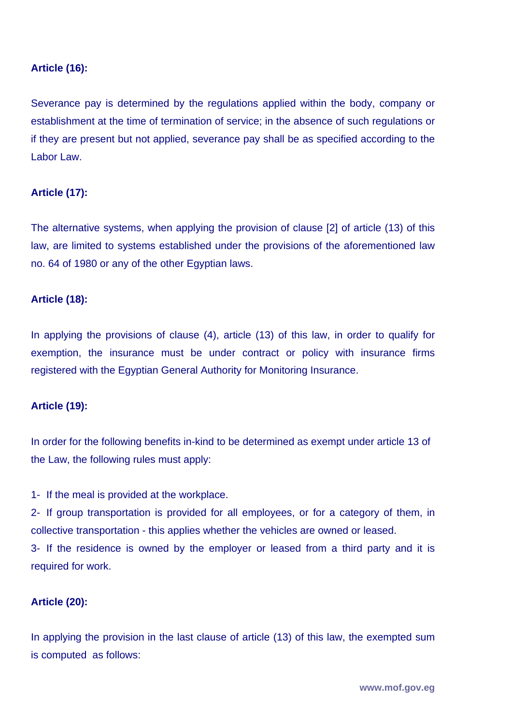### **Article (16):**

Severance pay is determined by the regulations applied within the body, company or establishment at the time of termination of service; in the absence of such regulations or if they are present but not applied, severance pay shall be as specified according to the Labor Law.

#### **Article (17):**

The alternative systems, when applying the provision of clause [2] of article (13) of this law, are limited to systems established under the provisions of the aforementioned law no. 64 of 1980 or any of the other Egyptian laws.

#### **Article (18):**

In applying the provisions of clause (4), article (13) of this law, in order to qualify for exemption, the insurance must be under contract or policy with insurance firms registered with the Egyptian General Authority for Monitoring Insurance.

#### **Article (19):**

In order for the following benefits in-kind to be determined as exempt under article 13 of the Law, the following rules must apply:

1- If the meal is provided at the workplace.

2- If group transportation is provided for all employees, or for a category of them, in collective transportation - this applies whether the vehicles are owned or leased. 3- If the residence is owned by the employer or leased from a third party and it is required for work.

#### **Article (20):**

In applying the provision in the last clause of article (13) of this law, the exempted sum is computed as follows: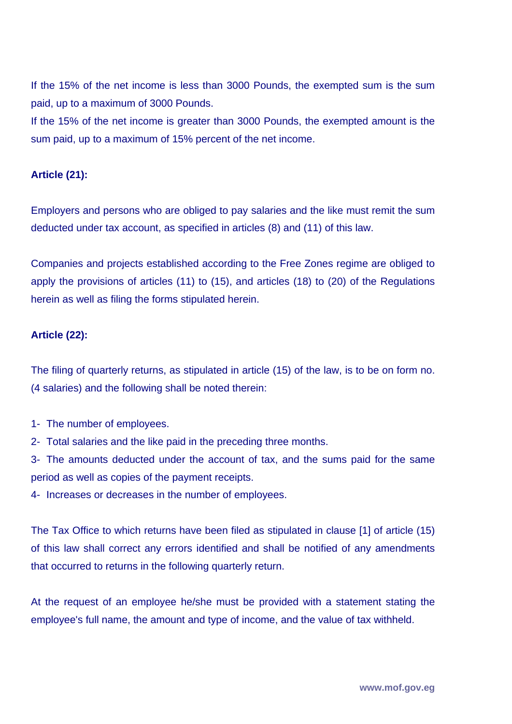If the 15% of the net income is less than 3000 Pounds, the exempted sum is the sum paid, up to a maximum of 3000 Pounds.

If the 15% of the net income is greater than 3000 Pounds, the exempted amount is the sum paid, up to a maximum of 15% percent of the net income.

## **Article (21):**

Employers and persons who are obliged to pay salaries and the like must remit the sum deducted under tax account, as specified in articles (8) and (11) of this law.

Companies and projects established according to the Free Zones regime are obliged to apply the provisions of articles (11) to (15), and articles (18) to (20) of the Regulations herein as well as filing the forms stipulated herein.

## **Article (22):**

The filing of quarterly returns, as stipulated in article (15) of the law, is to be on form no. (4 salaries) and the following shall be noted therein:

- 1- The number of employees.
- 2- Total salaries and the like paid in the preceding three months.
- 3- The amounts deducted under the account of tax, and the sums paid for the same period as well as copies of the payment receipts.
- 4- Increases or decreases in the number of employees.

The Tax Office to which returns have been filed as stipulated in clause [1] of article (15) of this law shall correct any errors identified and shall be notified of any amendments that occurred to returns in the following quarterly return.

At the request of an employee he/she must be provided with a statement stating the employee's full name, the amount and type of income, and the value of tax withheld.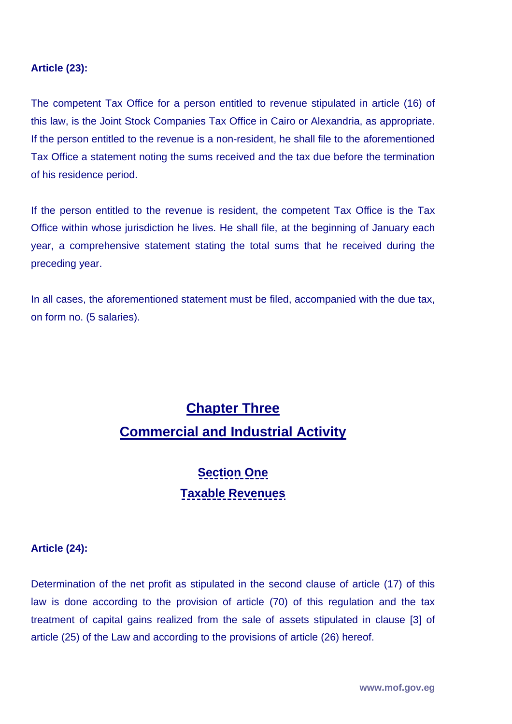#### **Article (23):**

The competent Tax Office for a person entitled to revenue stipulated in article (16) of this law, is the Joint Stock Companies Tax Office in Cairo or Alexandria, as appropriate. If the person entitled to the revenue is a non-resident, he shall file to the aforementioned Tax Office a statement noting the sums received and the tax due before the termination of his residence period.

If the person entitled to the revenue is resident, the competent Tax Office is the Tax Office within whose jurisdiction he lives. He shall file, at the beginning of January each year, a comprehensive statement stating the total sums that he received during the preceding year.

In all cases, the aforementioned statement must be filed, accompanied with the due tax, on form no. (5 salaries).

## **Chapter Three Commercial and Industrial Activity**

## **Section One Taxable Revenues**

#### **Article (24):**

Determination of the net profit as stipulated in the second clause of article (17) of this law is done according to the provision of article (70) of this regulation and the tax treatment of capital gains realized from the sale of assets stipulated in clause [3] of article (25) of the Law and according to the provisions of article (26) hereof.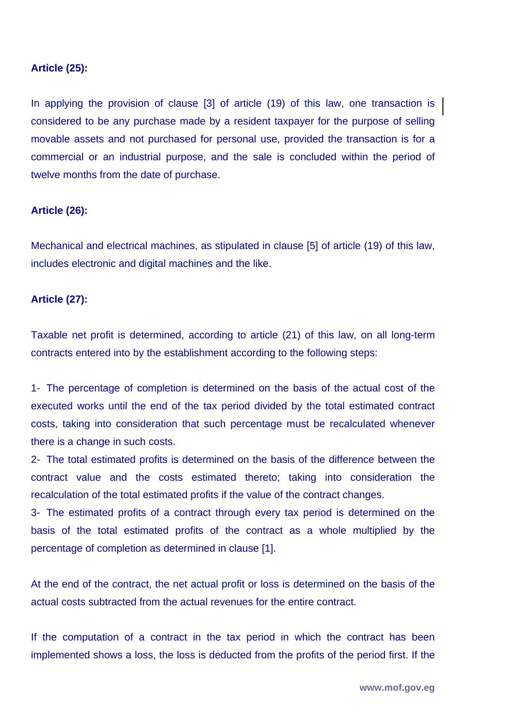#### **Article (25):**

In applying the provision of clause [3] of article (19) of this law, one transaction is considered to be any purchase made by a resident taxpayer for the purpose of selling movable assets and not purchased for personal use, provided the transaction is for a commercial or an industrial purpose, and the sale is concluded within the period of twelve months from the date of purchase.

#### **Article (26):**

Mechanical and electrical machines, as stipulated in clause [5] of article (19) of this law, includes electronic and digital machines and the like.

#### **Article (27):**

Taxable net profit is determined, according to article (21) of this law, on all long-term contracts entered into by the establishment according to the following steps:

1- The percentage of completion is determined on the basis of the actual cost of the executed works until the end of the tax period divided by the total estimated contract costs, taking into consideration that such percentage must be recalculated whenever there is a change in such costs.

2- The total estimated profits is determined on the basis of the difference between the contract value and the costs estimated thereto; taking into consideration the recalculation of the total estimated profits if the value of the contract changes.

3- The estimated profits of a contract through every tax period is determined on the basis of the total estimated profits of the contract as a whole multiplied by the percentage of completion as determined in clause [1].

At the end of the contract, the net actual profit or loss is determined on the basis of the actual costs subtracted from the actual revenues for the entire contract.

If the computation of a contract in the tax period in which the contract has been implemented shows a loss, the loss is deducted from the profits of the period first. If the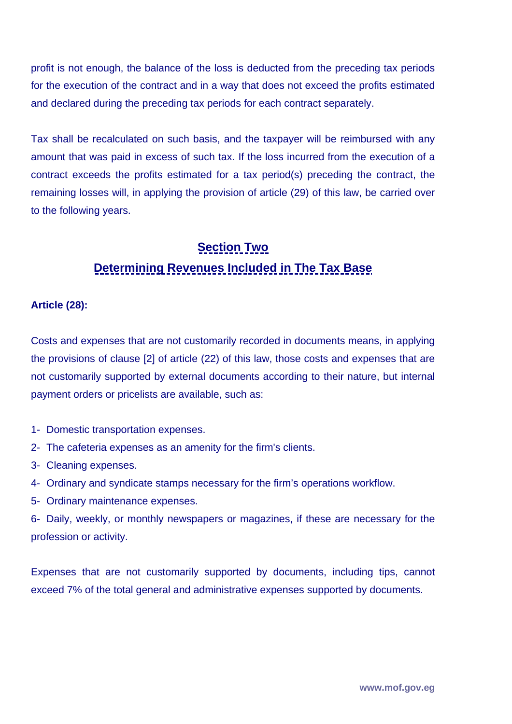profit is not enough, the balance of the loss is deducted from the preceding tax periods for the execution of the contract and in a way that does not exceed the profits estimated and declared during the preceding tax periods for each contract separately.

Tax shall be recalculated on such basis, and the taxpayer will be reimbursed with any amount that was paid in excess of such tax. If the loss incurred from the execution of a contract exceeds the profits estimated for a tax period(s) preceding the contract, the remaining losses will, in applying the provision of article (29) of this law, be carried over to the following years.

## **Section Two Determining Revenues Included in The Tax Base**

## **Article (28):**

Costs and expenses that are not customarily recorded in documents means, in applying the provisions of clause [2] of article (22) of this law, those costs and expenses that are not customarily supported by external documents according to their nature, but internal payment orders or pricelists are available, such as:

- 1- Domestic transportation expenses.
- 2- The cafeteria expenses as an amenity for the firm's clients.
- 3- Cleaning expenses.
- 4- Ordinary and syndicate stamps necessary for the firm's operations workflow.
- 5- Ordinary maintenance expenses.

6- Daily, weekly, or monthly newspapers or magazines, if these are necessary for the profession or activity.

Expenses that are not customarily supported by documents, including tips, cannot exceed 7% of the total general and administrative expenses supported by documents.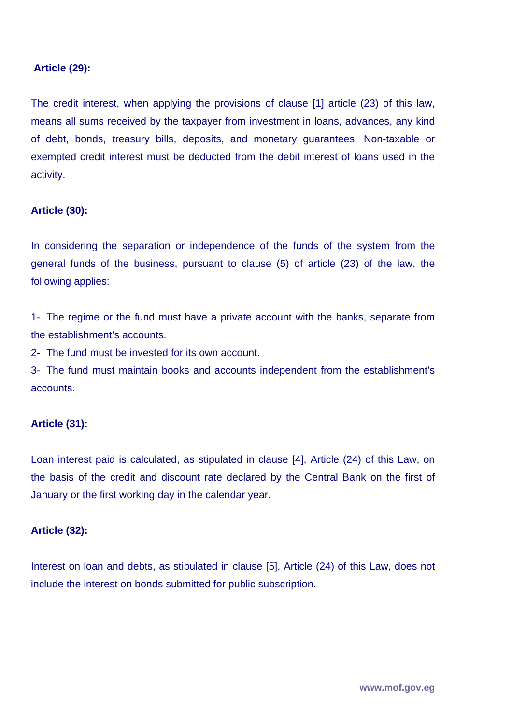### **Article (29):**

The credit interest, when applying the provisions of clause [1] article (23) of this law, means all sums received by the taxpayer from investment in loans, advances, any kind of debt, bonds, treasury bills, deposits, and monetary guarantees. Non-taxable or exempted credit interest must be deducted from the debit interest of loans used in the activity.

#### **Article (30):**

In considering the separation or independence of the funds of the system from the general funds of the business, pursuant to clause (5) of article (23) of the law, the following applies:

1- The regime or the fund must have a private account with the banks, separate from the establishment's accounts.

2- The fund must be invested for its own account.

3- The fund must maintain books and accounts independent from the establishment's accounts.

#### **Article (31):**

Loan interest paid is calculated, as stipulated in clause [4], Article (24) of this Law, on the basis of the credit and discount rate declared by the Central Bank on the first of January or the first working day in the calendar year.

#### **Article (32):**

Interest on loan and debts, as stipulated in clause [5], Article (24) of this Law, does not include the interest on bonds submitted for public subscription.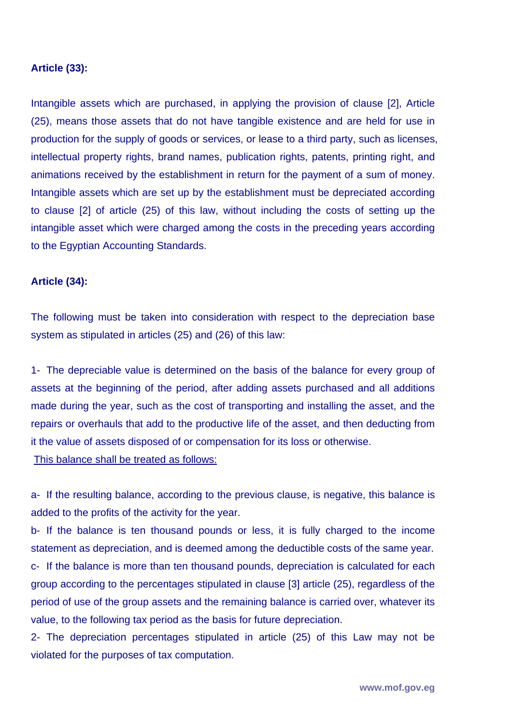#### **Article (33):**

Intangible assets which are purchased, in applying the provision of clause [2], Article (25), means those assets that do not have tangible existence and are held for use in production for the supply of goods or services, or lease to a third party, such as licenses, intellectual property rights, brand names, publication rights, patents, printing right, and animations received by the establishment in return for the payment of a sum of money. Intangible assets which are set up by the establishment must be depreciated according to clause [2] of article (25) of this law, without including the costs of setting up the intangible asset which were charged among the costs in the preceding years according to the Egyptian Accounting Standards.

#### **Article (34):**

The following must be taken into consideration with respect to the depreciation base system as stipulated in articles (25) and (26) of this law:

1- The depreciable value is determined on the basis of the balance for every group of assets at the beginning of the period, after adding assets purchased and all additions made during the year, such as the cost of transporting and installing the asset, and the repairs or overhauls that add to the productive life of the asset, and then deducting from it the value of assets disposed of or compensation for its loss or otherwise. This balance shall be treated as follows:

a- If the resulting balance, according to the previous clause, is negative, this balance is added to the profits of the activity for the year.

b- If the balance is ten thousand pounds or less, it is fully charged to the income statement as depreciation, and is deemed among the deductible costs of the same year. c- If the balance is more than ten thousand pounds, depreciation is calculated for each group according to the percentages stipulated in clause [3] article (25), regardless of the period of use of the group assets and the remaining balance is carried over, whatever its value, to the following tax period as the basis for future depreciation.

2- The depreciation percentages stipulated in article (25) of this Law may not be violated for the purposes of tax computation.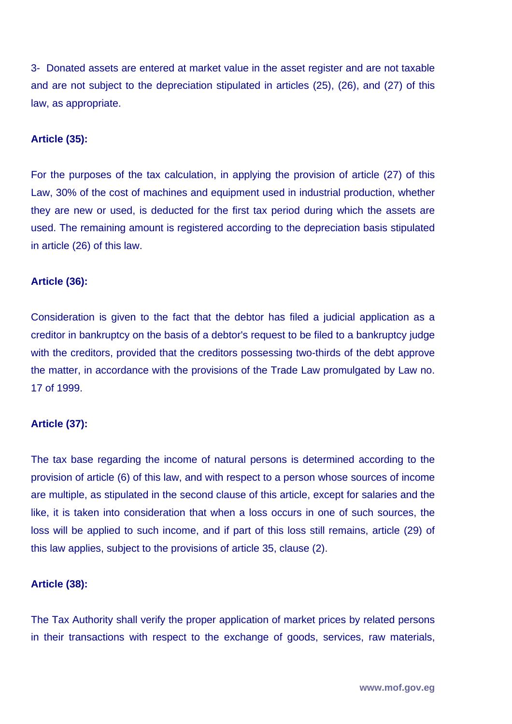3- Donated assets are entered at market value in the asset register and are not taxable and are not subject to the depreciation stipulated in articles (25), (26), and (27) of this law, as appropriate.

#### **Article (35):**

For the purposes of the tax calculation, in applying the provision of article (27) of this Law, 30% of the cost of machines and equipment used in industrial production, whether they are new or used, is deducted for the first tax period during which the assets are used. The remaining amount is registered according to the depreciation basis stipulated in article (26) of this law.

#### **Article (36):**

Consideration is given to the fact that the debtor has filed a judicial application as a creditor in bankruptcy on the basis of a debtor's request to be filed to a bankruptcy judge with the creditors, provided that the creditors possessing two-thirds of the debt approve the matter, in accordance with the provisions of the Trade Law promulgated by Law no. 17 of 1999.

#### **Article (37):**

The tax base regarding the income of natural persons is determined according to the provision of article (6) of this law, and with respect to a person whose sources of income are multiple, as stipulated in the second clause of this article, except for salaries and the like, it is taken into consideration that when a loss occurs in one of such sources, the loss will be applied to such income, and if part of this loss still remains, article (29) of this law applies, subject to the provisions of article 35, clause (2).

#### **Article (38):**

The Tax Authority shall verify the proper application of market prices by related persons in their transactions with respect to the exchange of goods, services, raw materials,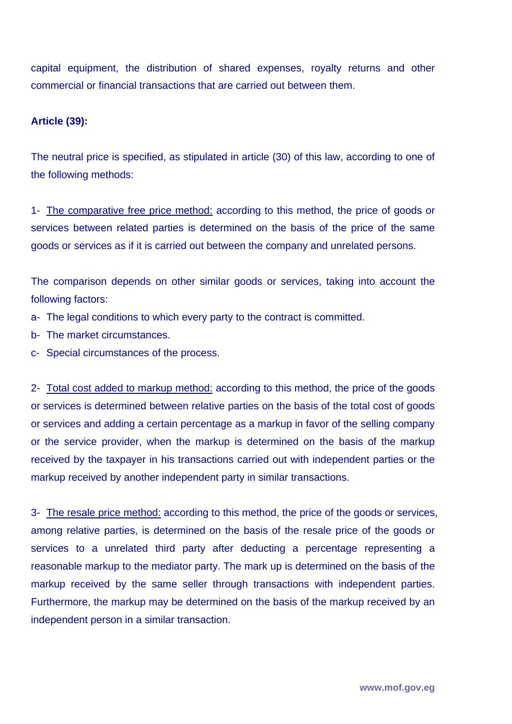capital equipment, the distribution of shared expenses, royalty returns and other commercial or financial transactions that are carried out between them.

### **Article (39):**

The neutral price is specified, as stipulated in article (30) of this law, according to one of the following methods:

1- The comparative free price method: according to this method, the price of goods or services between related parties is determined on the basis of the price of the same goods or services as if it is carried out between the company and unrelated persons.

The comparison depends on other similar goods or services, taking into account the following factors:

- a- The legal conditions to which every party to the contract is committed.
- b- The market circumstances.
- c- Special circumstances of the process.

2- Total cost added to markup method: according to this method, the price of the goods or services is determined between relative parties on the basis of the total cost of goods or services and adding a certain percentage as a markup in favor of the selling company or the service provider, when the markup is determined on the basis of the markup received by the taxpayer in his transactions carried out with independent parties or the markup received by another independent party in similar transactions.

3- The resale price method: according to this method, the price of the goods or services, among relative parties, is determined on the basis of the resale price of the goods or services to a unrelated third party after deducting a percentage representing a reasonable markup to the mediator party. The mark up is determined on the basis of the markup received by the same seller through transactions with independent parties. Furthermore, the markup may be determined on the basis of the markup received by an independent person in a similar transaction.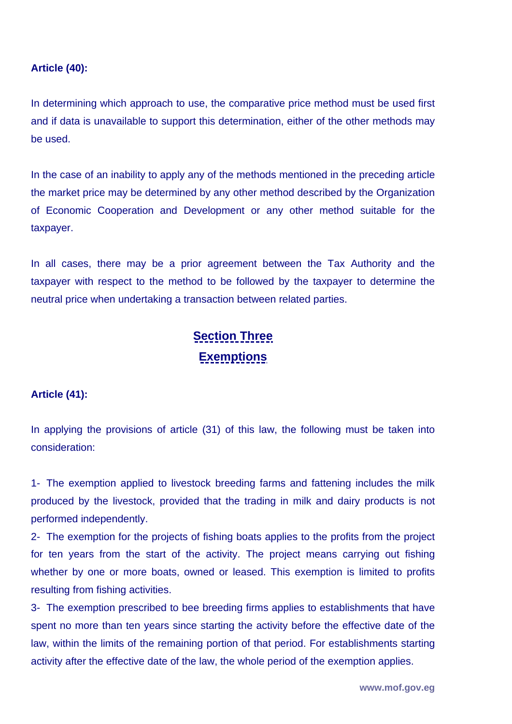#### **Article (40):**

In determining which approach to use, the comparative price method must be used first and if data is unavailable to support this determination, either of the other methods may be used.

In the case of an inability to apply any of the methods mentioned in the preceding article the market price may be determined by any other method described by the Organization of Economic Cooperation and Development or any other method suitable for the taxpayer.

In all cases, there may be a prior agreement between the Tax Authority and the taxpayer with respect to the method to be followed by the taxpayer to determine the neutral price when undertaking a transaction between related parties.

## **Section Three Exemptions**

#### **Article (41):**

In applying the provisions of article (31) of this law, the following must be taken into consideration:

1- The exemption applied to livestock breeding farms and fattening includes the milk produced by the livestock, provided that the trading in milk and dairy products is not performed independently.

2- The exemption for the projects of fishing boats applies to the profits from the project for ten years from the start of the activity. The project means carrying out fishing whether by one or more boats, owned or leased. This exemption is limited to profits resulting from fishing activities.

3- The exemption prescribed to bee breeding firms applies to establishments that have spent no more than ten years since starting the activity before the effective date of the law, within the limits of the remaining portion of that period. For establishments starting activity after the effective date of the law, the whole period of the exemption applies.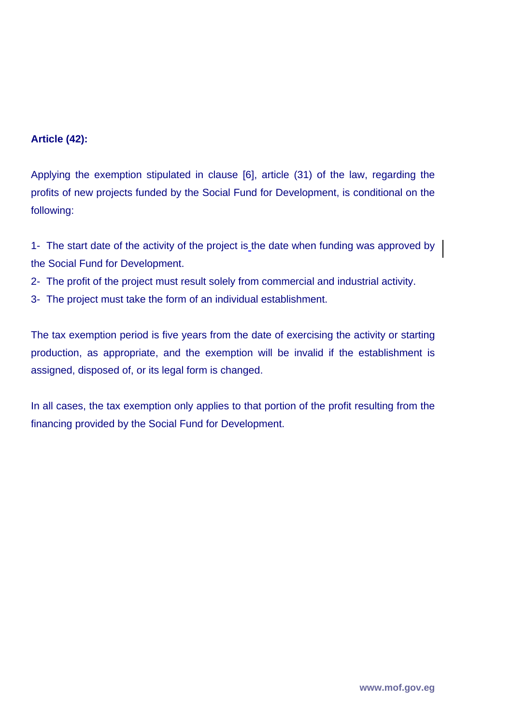### **Article (42):**

Applying the exemption stipulated in clause [6], article (31) of the law, regarding the profits of new projects funded by the Social Fund for Development, is conditional on the following:

1- The start date of the activity of the project is\_the date when funding was approved by the Social Fund for Development.

- 2- The profit of the project must result solely from commercial and industrial activity.
- 3- The project must take the form of an individual establishment.

The tax exemption period is five years from the date of exercising the activity or starting production, as appropriate, and the exemption will be invalid if the establishment is assigned, disposed of, or its legal form is changed.

In all cases, the tax exemption only applies to that portion of the profit resulting from the financing provided by the Social Fund for Development.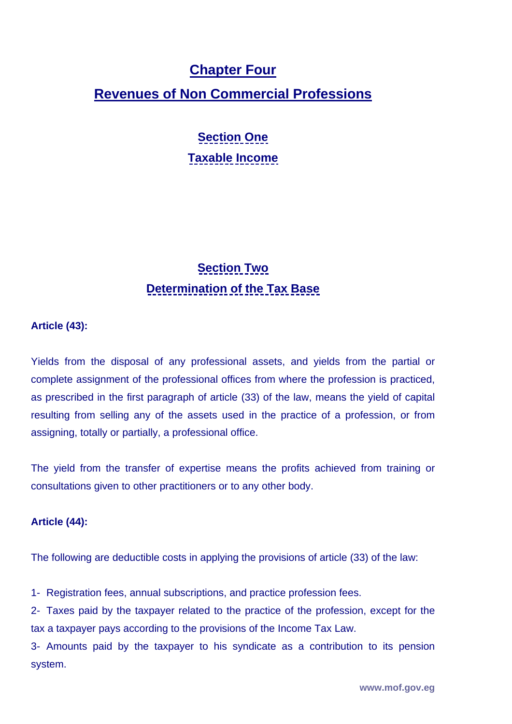## **Chapter Four**

## **Revenues of Non Commercial Professions**

## **Section One Taxable Income**

## **Section Two Determination of the Tax Base**

## **Article (43):**

Yields from the disposal of any professional assets, and yields from the partial or complete assignment of the professional offices from where the profession is practiced, as prescribed in the first paragraph of article (33) of the law, means the yield of capital resulting from selling any of the assets used in the practice of a profession, or from assigning, totally or partially, a professional office.

The yield from the transfer of expertise means the profits achieved from training or consultations given to other practitioners or to any other body.

#### **Article (44):**

The following are deductible costs in applying the provisions of article (33) of the law:

1- Registration fees, annual subscriptions, and practice profession fees.

2- Taxes paid by the taxpayer related to the practice of the profession, except for the tax a taxpayer pays according to the provisions of the Income Tax Law.

3- Amounts paid by the taxpayer to his syndicate as a contribution to its pension system.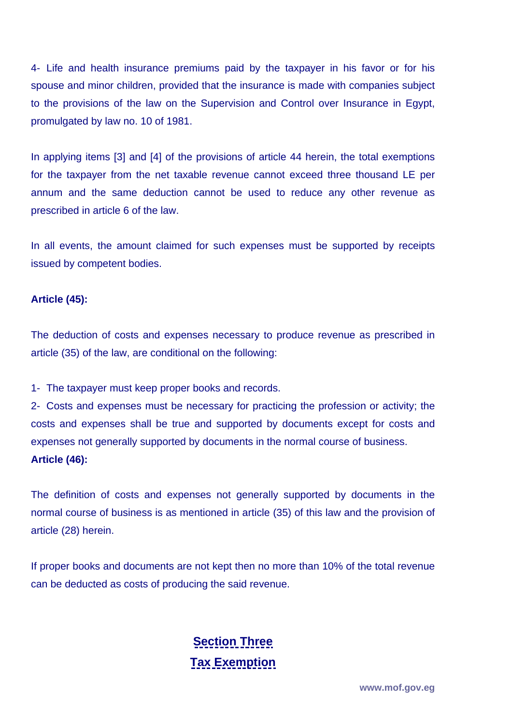4- Life and health insurance premiums paid by the taxpayer in his favor or for his spouse and minor children, provided that the insurance is made with companies subject to the provisions of the law on the Supervision and Control over Insurance in Egypt, promulgated by law no. 10 of 1981.

In applying items [3] and [4] of the provisions of article 44 herein, the total exemptions for the taxpayer from the net taxable revenue cannot exceed three thousand LE per annum and the same deduction cannot be used to reduce any other revenue as prescribed in article 6 of the law.

In all events, the amount claimed for such expenses must be supported by receipts issued by competent bodies.

#### **Article (45):**

The deduction of costs and expenses necessary to produce revenue as prescribed in article (35) of the law, are conditional on the following:

1- The taxpayer must keep proper books and records.

2- Costs and expenses must be necessary for practicing the profession or activity; the costs and expenses shall be true and supported by documents except for costs and expenses not generally supported by documents in the normal course of business. **Article (46):** 

The definition of costs and expenses not generally supported by documents in the normal course of business is as mentioned in article (35) of this law and the provision of article (28) herein.

If proper books and documents are not kept then no more than 10% of the total revenue can be deducted as costs of producing the said revenue.

> **Section Three Tax Exemption**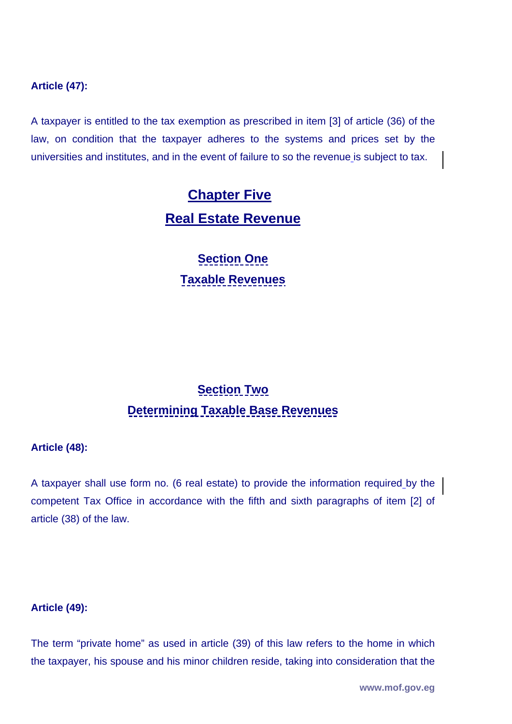## **Article (47):**

A taxpayer is entitled to the tax exemption as prescribed in item [3] of article (36) of the law, on condition that the taxpayer adheres to the systems and prices set by the universities and institutes, and in the event of failure to so the revenue is subject to tax.

## **Chapter Five Real Estate Revenue**

## **Section One Taxable Revenues**

## **Section Two Determining Taxable Base Revenues**

#### **Article (48):**

A taxpayer shall use form no. (6 real estate) to provide the information required by the competent Tax Office in accordance with the fifth and sixth paragraphs of item [2] of article (38) of the law.

#### **Article (49):**

The term "private home" as used in article (39) of this law refers to the home in which the taxpayer, his spouse and his minor children reside, taking into consideration that the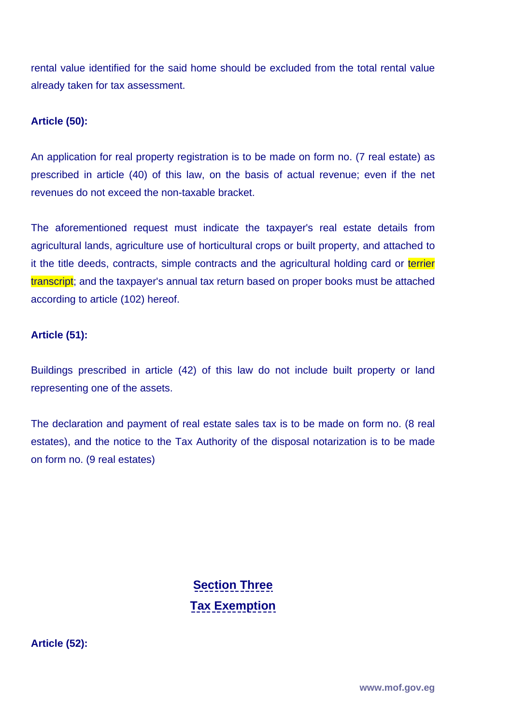rental value identified for the said home should be excluded from the total rental value already taken for tax assessment.

### **Article (50):**

An application for real property registration is to be made on form no. (7 real estate) as prescribed in article (40) of this law, on the basis of actual revenue; even if the net revenues do not exceed the non-taxable bracket.

The aforementioned request must indicate the taxpayer's real estate details from agricultural lands, agriculture use of horticultural crops or built property, and attached to it the title deeds, contracts, simple contracts and the agricultural holding card or terrier transcript; and the taxpayer's annual tax return based on proper books must be attached according to article (102) hereof.

#### **Article (51):**

Buildings prescribed in article (42) of this law do not include built property or land representing one of the assets.

The declaration and payment of real estate sales tax is to be made on form no. (8 real estates), and the notice to the Tax Authority of the disposal notarization is to be made on form no. (9 real estates)

> **Section Three Tax Exemption**

**Article (52):**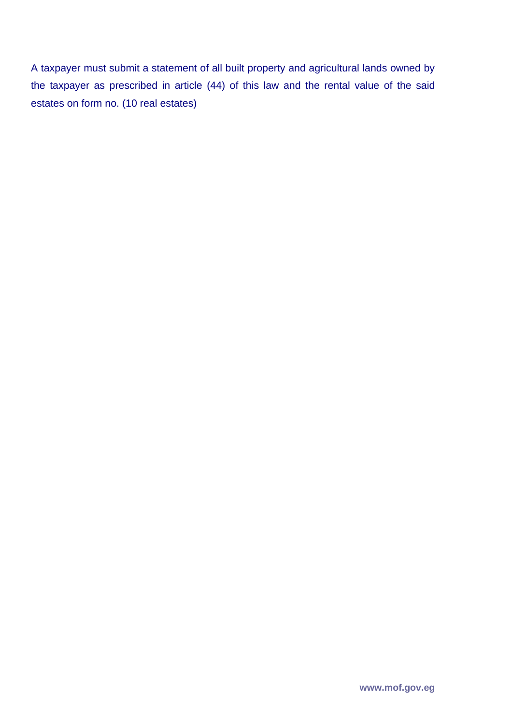A taxpayer must submit a statement of all built property and agricultural lands owned by the taxpayer as prescribed in article (44) of this law and the rental value of the said estates on form no. (10 real estates)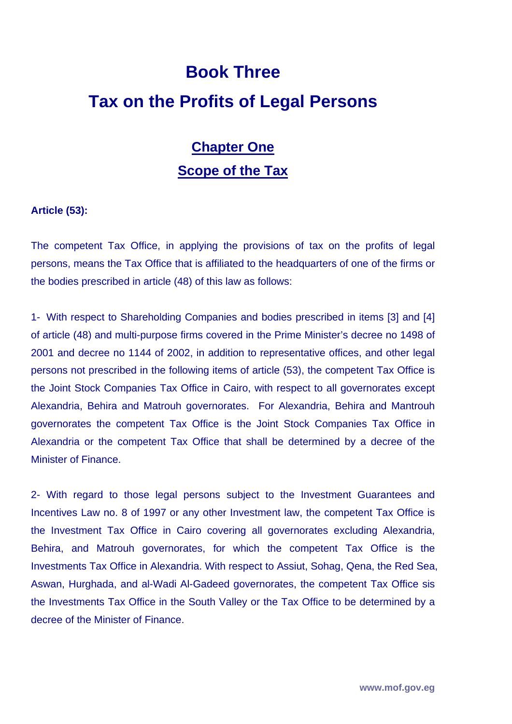# **Book Three Tax on the Profits of Legal Persons**

## **Chapter One Scope of the Tax**

### **Article (53):**

The competent Tax Office, in applying the provisions of tax on the profits of legal persons, means the Tax Office that is affiliated to the headquarters of one of the firms or the bodies prescribed in article (48) of this law as follows:

1- With respect to Shareholding Companies and bodies prescribed in items [3] and [4] of article (48) and multi-purpose firms covered in the Prime Minister's decree no 1498 of 2001 and decree no 1144 of 2002, in addition to representative offices, and other legal persons not prescribed in the following items of article (53), the competent Tax Office is the Joint Stock Companies Tax Office in Cairo, with respect to all governorates except Alexandria, Behira and Matrouh governorates. For Alexandria, Behira and Mantrouh governorates the competent Tax Office is the Joint Stock Companies Tax Office in Alexandria or the competent Tax Office that shall be determined by a decree of the Minister of Finance.

2- With regard to those legal persons subject to the Investment Guarantees and Incentives Law no. 8 of 1997 or any other Investment law, the competent Tax Office is the Investment Tax Office in Cairo covering all governorates excluding Alexandria, Behira, and Matrouh governorates, for which the competent Tax Office is the Investments Tax Office in Alexandria. With respect to Assiut, Sohag, Qena, the Red Sea, Aswan, Hurghada, and al-Wadi Al-Gadeed governorates, the competent Tax Office sis the Investments Tax Office in the South Valley or the Tax Office to be determined by a decree of the Minister of Finance.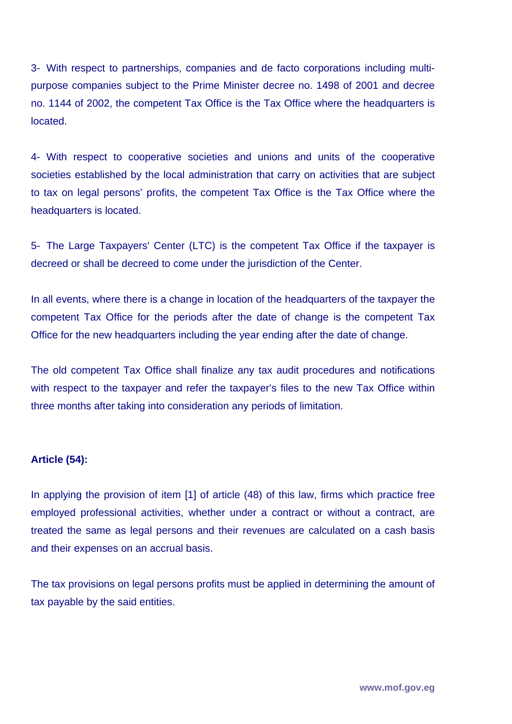3- With respect to partnerships, companies and de facto corporations including multipurpose companies subject to the Prime Minister decree no. 1498 of 2001 and decree no. 1144 of 2002, the competent Tax Office is the Tax Office where the headquarters is located.

4- With respect to cooperative societies and unions and units of the cooperative societies established by the local administration that carry on activities that are subject to tax on legal persons' profits, the competent Tax Office is the Tax Office where the headquarters is located.

5- The Large Taxpayers' Center (LTC) is the competent Tax Office if the taxpayer is decreed or shall be decreed to come under the jurisdiction of the Center.

In all events, where there is a change in location of the headquarters of the taxpayer the competent Tax Office for the periods after the date of change is the competent Tax Office for the new headquarters including the year ending after the date of change.

The old competent Tax Office shall finalize any tax audit procedures and notifications with respect to the taxpayer and refer the taxpayer's files to the new Tax Office within three months after taking into consideration any periods of limitation.

#### **Article (54):**

In applying the provision of item [1] of article (48) of this law, firms which practice free employed professional activities, whether under a contract or without a contract, are treated the same as legal persons and their revenues are calculated on a cash basis and their expenses on an accrual basis.

The tax provisions on legal persons profits must be applied in determining the amount of tax payable by the said entities.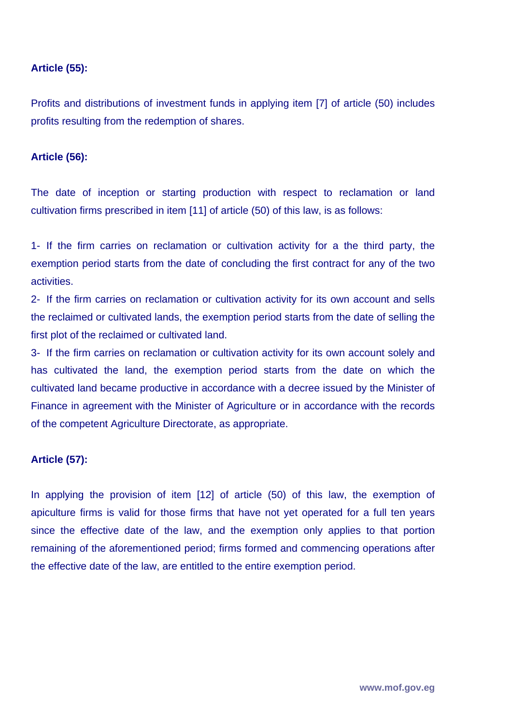### **Article (55):**

Profits and distributions of investment funds in applying item [7] of article (50) includes profits resulting from the redemption of shares.

#### **Article (56):**

The date of inception or starting production with respect to reclamation or land cultivation firms prescribed in item [11] of article (50) of this law, is as follows:

1- If the firm carries on reclamation or cultivation activity for a the third party, the exemption period starts from the date of concluding the first contract for any of the two activities.

2- If the firm carries on reclamation or cultivation activity for its own account and sells the reclaimed or cultivated lands, the exemption period starts from the date of selling the first plot of the reclaimed or cultivated land.

3- If the firm carries on reclamation or cultivation activity for its own account solely and has cultivated the land, the exemption period starts from the date on which the cultivated land became productive in accordance with a decree issued by the Minister of Finance in agreement with the Minister of Agriculture or in accordance with the records of the competent Agriculture Directorate, as appropriate.

#### **Article (57):**

In applying the provision of item [12] of article (50) of this law, the exemption of apiculture firms is valid for those firms that have not yet operated for a full ten years since the effective date of the law, and the exemption only applies to that portion remaining of the aforementioned period; firms formed and commencing operations after the effective date of the law, are entitled to the entire exemption period.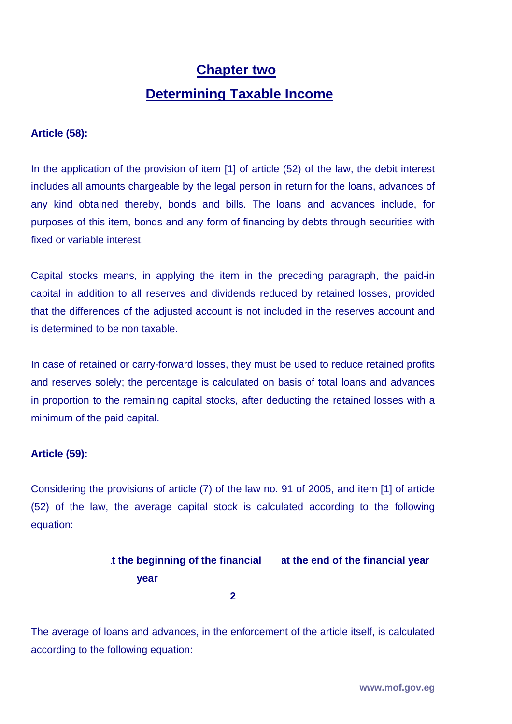## **Chapter two Determining Taxable Income**

## **Article (58):**

In the application of the provision of item [1] of article (52) of the law, the debit interest includes all amounts chargeable by the legal person in return for the loans, advances of any kind obtained thereby, bonds and bills. The loans and advances include, for purposes of this item, bonds and any form of financing by debts through securities with fixed or variable interest.

Capital stocks means, in applying the item in the preceding paragraph, the paid-in capital in addition to all reserves and dividends reduced by retained losses, provided that the differences of the adjusted account is not included in the reserves account and is determined to be non taxable.

In case of retained or carry-forward losses, they must be used to reduce retained profits and reserves solely; the percentage is calculated on basis of total loans and advances in proportion to the remaining capital stocks, after deducting the retained losses with a minimum of the paid capital.

## **Article (59):**

Considering the provisions of article (7) of the law no. 91 of 2005, and item [1] of article (52) of the law, the average capital stock is calculated according to the following equation:

| it the beginning of the financial | at the end of the financial year |
|-----------------------------------|----------------------------------|
| vear                              |                                  |
|                                   |                                  |

The average of loans and advances, in the enforcement of the article itself, is calculated according to the following equation: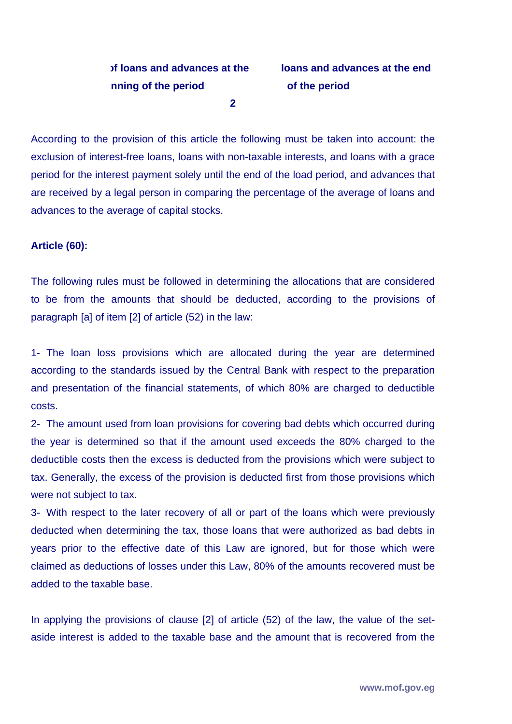**of loans and advances at the nning of the period 2** 

## **loans and advances at the end of the period**

According to the provision of this article the following must be taken into account: the exclusion of interest-free loans, loans with non-taxable interests, and loans with a grace period for the interest payment solely until the end of the load period, and advances that are received by a legal person in comparing the percentage of the average of loans and advances to the average of capital stocks.

### **Article (60):**

The following rules must be followed in determining the allocations that are considered to be from the amounts that should be deducted, according to the provisions of paragraph [a] of item [2] of article (52) in the law:

1- The loan loss provisions which are allocated during the year are determined according to the standards issued by the Central Bank with respect to the preparation and presentation of the financial statements, of which 80% are charged to deductible costs.

2- The amount used from loan provisions for covering bad debts which occurred during the year is determined so that if the amount used exceeds the 80% charged to the deductible costs then the excess is deducted from the provisions which were subject to tax. Generally, the excess of the provision is deducted first from those provisions which were not subject to tax.

3- With respect to the later recovery of all or part of the loans which were previously deducted when determining the tax, those loans that were authorized as bad debts in years prior to the effective date of this Law are ignored, but for those which were claimed as deductions of losses under this Law, 80% of the amounts recovered must be added to the taxable base.

In applying the provisions of clause [2] of article (52) of the law, the value of the setaside interest is added to the taxable base and the amount that is recovered from the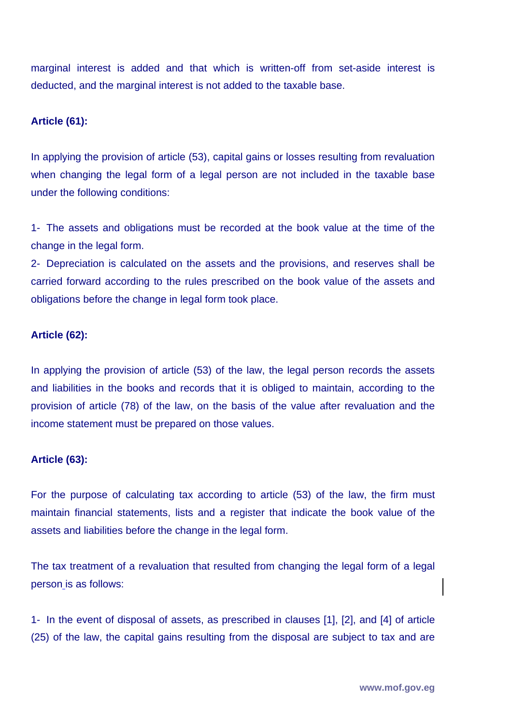marginal interest is added and that which is written-off from set-aside interest is deducted, and the marginal interest is not added to the taxable base.

#### **Article (61):**

In applying the provision of article (53), capital gains or losses resulting from revaluation when changing the legal form of a legal person are not included in the taxable base under the following conditions:

1- The assets and obligations must be recorded at the book value at the time of the change in the legal form.

2- Depreciation is calculated on the assets and the provisions, and reserves shall be carried forward according to the rules prescribed on the book value of the assets and obligations before the change in legal form took place.

### **Article (62):**

In applying the provision of article (53) of the law, the legal person records the assets and liabilities in the books and records that it is obliged to maintain, according to the provision of article (78) of the law, on the basis of the value after revaluation and the income statement must be prepared on those values.

#### **Article (63):**

For the purpose of calculating tax according to article (53) of the law, the firm must maintain financial statements, lists and a register that indicate the book value of the assets and liabilities before the change in the legal form.

The tax treatment of a revaluation that resulted from changing the legal form of a legal person is as follows:

1- In the event of disposal of assets, as prescribed in clauses [1], [2], and [4] of article (25) of the law, the capital gains resulting from the disposal are subject to tax and are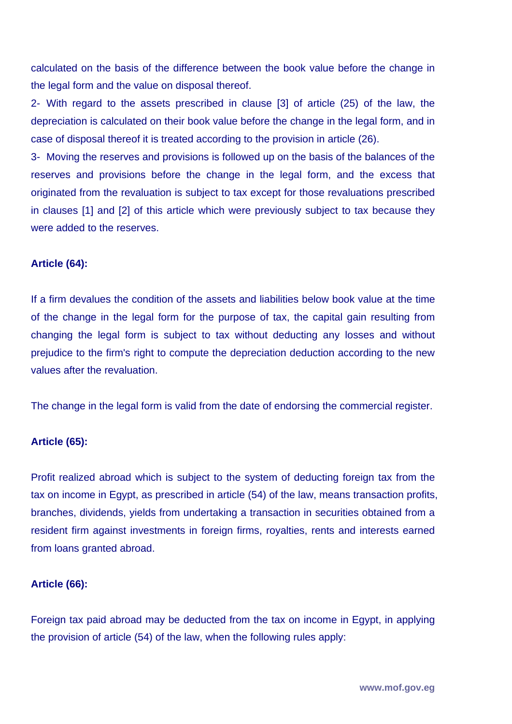calculated on the basis of the difference between the book value before the change in the legal form and the value on disposal thereof.

2- With regard to the assets prescribed in clause [3] of article (25) of the law, the depreciation is calculated on their book value before the change in the legal form, and in case of disposal thereof it is treated according to the provision in article (26).

3- Moving the reserves and provisions is followed up on the basis of the balances of the reserves and provisions before the change in the legal form, and the excess that originated from the revaluation is subject to tax except for those revaluations prescribed in clauses [1] and [2] of this article which were previously subject to tax because they were added to the reserves.

#### **Article (64):**

If a firm devalues the condition of the assets and liabilities below book value at the time of the change in the legal form for the purpose of tax, the capital gain resulting from changing the legal form is subject to tax without deducting any losses and without prejudice to the firm's right to compute the depreciation deduction according to the new values after the revaluation.

The change in the legal form is valid from the date of endorsing the commercial register.

#### **Article (65):**

Profit realized abroad which is subject to the system of deducting foreign tax from the tax on income in Egypt, as prescribed in article (54) of the law, means transaction profits, branches, dividends, yields from undertaking a transaction in securities obtained from a resident firm against investments in foreign firms, royalties, rents and interests earned from loans granted abroad.

#### **Article (66):**

Foreign tax paid abroad may be deducted from the tax on income in Egypt, in applying the provision of article (54) of the law, when the following rules apply: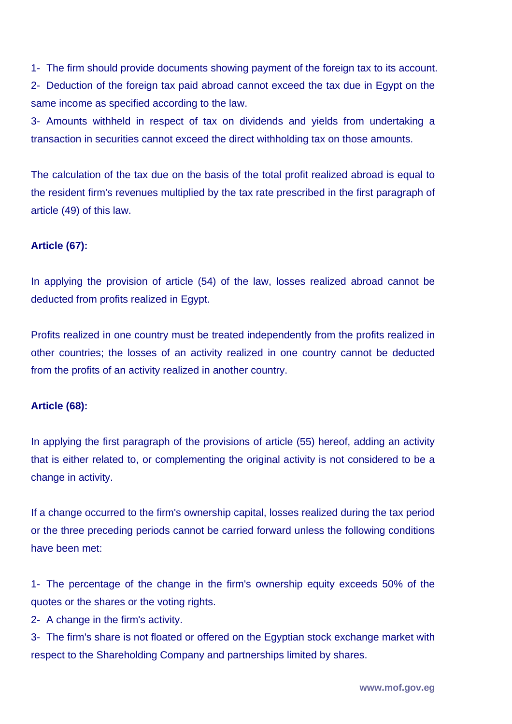1- The firm should provide documents showing payment of the foreign tax to its account. 2- Deduction of the foreign tax paid abroad cannot exceed the tax due in Egypt on the

same income as specified according to the law.

3- Amounts withheld in respect of tax on dividends and yields from undertaking a transaction in securities cannot exceed the direct withholding tax on those amounts.

The calculation of the tax due on the basis of the total profit realized abroad is equal to the resident firm's revenues multiplied by the tax rate prescribed in the first paragraph of article (49) of this law.

## **Article (67):**

In applying the provision of article (54) of the law, losses realized abroad cannot be deducted from profits realized in Egypt.

Profits realized in one country must be treated independently from the profits realized in other countries; the losses of an activity realized in one country cannot be deducted from the profits of an activity realized in another country.

## **Article (68):**

In applying the first paragraph of the provisions of article (55) hereof, adding an activity that is either related to, or complementing the original activity is not considered to be a change in activity.

If a change occurred to the firm's ownership capital, losses realized during the tax period or the three preceding periods cannot be carried forward unless the following conditions have been met:

1- The percentage of the change in the firm's ownership equity exceeds 50% of the quotes or the shares or the voting rights.

2- A change in the firm's activity.

3- The firm's share is not floated or offered on the Egyptian stock exchange market with respect to the Shareholding Company and partnerships limited by shares.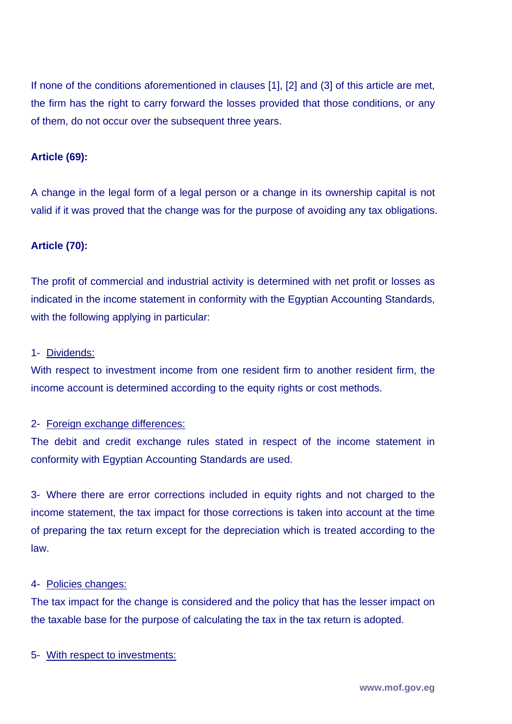If none of the conditions aforementioned in clauses [1], [2] and (3] of this article are met, the firm has the right to carry forward the losses provided that those conditions, or any of them, do not occur over the subsequent three years.

#### **Article (69):**

A change in the legal form of a legal person or a change in its ownership capital is not valid if it was proved that the change was for the purpose of avoiding any tax obligations.

#### **Article (70):**

The profit of commercial and industrial activity is determined with net profit or losses as indicated in the income statement in conformity with the Egyptian Accounting Standards, with the following applying in particular:

#### 1- Dividends:

With respect to investment income from one resident firm to another resident firm, the income account is determined according to the equity rights or cost methods.

#### 2- Foreign exchange differences:

The debit and credit exchange rules stated in respect of the income statement in conformity with Egyptian Accounting Standards are used.

3- Where there are error corrections included in equity rights and not charged to the income statement, the tax impact for those corrections is taken into account at the time of preparing the tax return except for the depreciation which is treated according to the law.

#### 4- Policies changes:

The tax impact for the change is considered and the policy that has the lesser impact on the taxable base for the purpose of calculating the tax in the tax return is adopted.

#### 5- With respect to investments: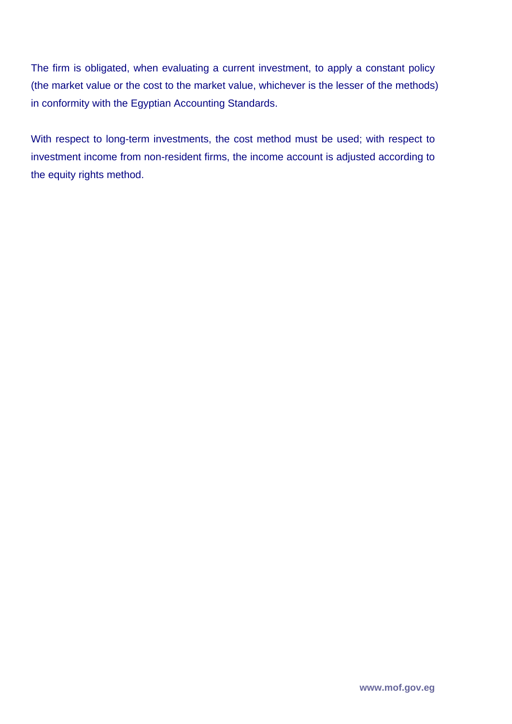The firm is obligated, when evaluating a current investment, to apply a constant policy (the market value or the cost to the market value, whichever is the lesser of the methods) in conformity with the Egyptian Accounting Standards.

With respect to long-term investments, the cost method must be used; with respect to investment income from non-resident firms, the income account is adjusted according to the equity rights method.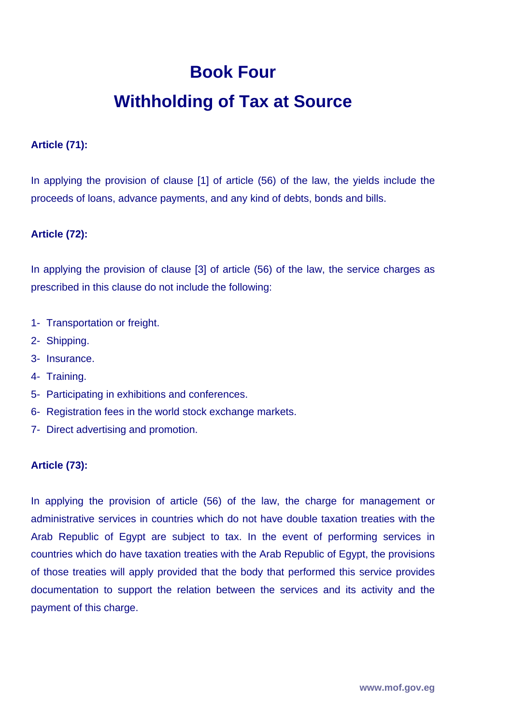# **Book Four Withholding of Tax at Source**

## **Article (71):**

In applying the provision of clause [1] of article (56) of the law, the yields include the proceeds of loans, advance payments, and any kind of debts, bonds and bills.

## **Article (72):**

In applying the provision of clause [3] of article (56) of the law, the service charges as prescribed in this clause do not include the following:

- 1- Transportation or freight.
- 2- Shipping.
- 3- Insurance.
- 4- Training.
- 5- Participating in exhibitions and conferences.
- 6- Registration fees in the world stock exchange markets.
- 7- Direct advertising and promotion.

## **Article (73):**

In applying the provision of article (56) of the law, the charge for management or administrative services in countries which do not have double taxation treaties with the Arab Republic of Egypt are subject to tax. In the event of performing services in countries which do have taxation treaties with the Arab Republic of Egypt, the provisions of those treaties will apply provided that the body that performed this service provides documentation to support the relation between the services and its activity and the payment of this charge.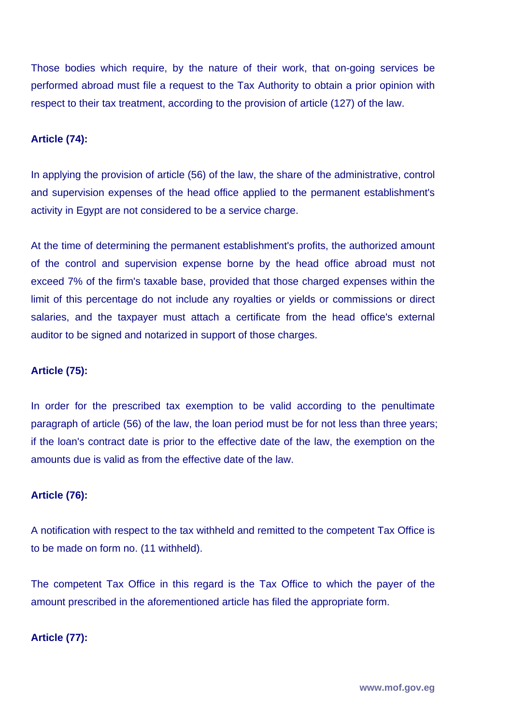Those bodies which require, by the nature of their work, that on-going services be performed abroad must file a request to the Tax Authority to obtain a prior opinion with respect to their tax treatment, according to the provision of article (127) of the law.

#### **Article (74):**

In applying the provision of article (56) of the law, the share of the administrative, control and supervision expenses of the head office applied to the permanent establishment's activity in Egypt are not considered to be a service charge.

At the time of determining the permanent establishment's profits, the authorized amount of the control and supervision expense borne by the head office abroad must not exceed 7% of the firm's taxable base, provided that those charged expenses within the limit of this percentage do not include any royalties or yields or commissions or direct salaries, and the taxpayer must attach a certificate from the head office's external auditor to be signed and notarized in support of those charges.

#### **Article (75):**

In order for the prescribed tax exemption to be valid according to the penultimate paragraph of article (56) of the law, the loan period must be for not less than three years; if the loan's contract date is prior to the effective date of the law, the exemption on the amounts due is valid as from the effective date of the law.

#### **Article (76):**

A notification with respect to the tax withheld and remitted to the competent Tax Office is to be made on form no. (11 withheld).

The competent Tax Office in this regard is the Tax Office to which the payer of the amount prescribed in the aforementioned article has filed the appropriate form.

#### **Article (77):**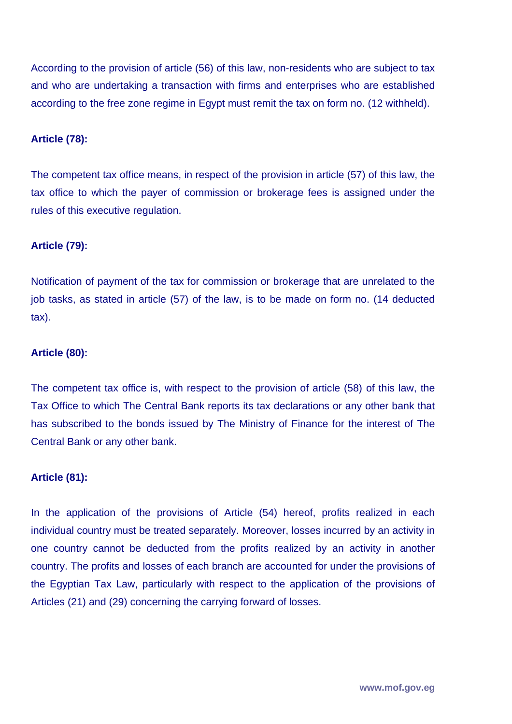According to the provision of article (56) of this law, non-residents who are subject to tax and who are undertaking a transaction with firms and enterprises who are established according to the free zone regime in Egypt must remit the tax on form no. (12 withheld).

#### **Article (78):**

The competent tax office means, in respect of the provision in article (57) of this law, the tax office to which the payer of commission or brokerage fees is assigned under the rules of this executive regulation.

#### **Article (79):**

Notification of payment of the tax for commission or brokerage that are unrelated to the job tasks, as stated in article (57) of the law, is to be made on form no. (14 deducted tax).

#### **Article (80):**

The competent tax office is, with respect to the provision of article (58) of this law, the Tax Office to which The Central Bank reports its tax declarations or any other bank that has subscribed to the bonds issued by The Ministry of Finance for the interest of The Central Bank or any other bank.

#### **Article (81):**

In the application of the provisions of Article (54) hereof, profits realized in each individual country must be treated separately. Moreover, losses incurred by an activity in one country cannot be deducted from the profits realized by an activity in another country. The profits and losses of each branch are accounted for under the provisions of the Egyptian Tax Law, particularly with respect to the application of the provisions of Articles (21) and (29) concerning the carrying forward of losses.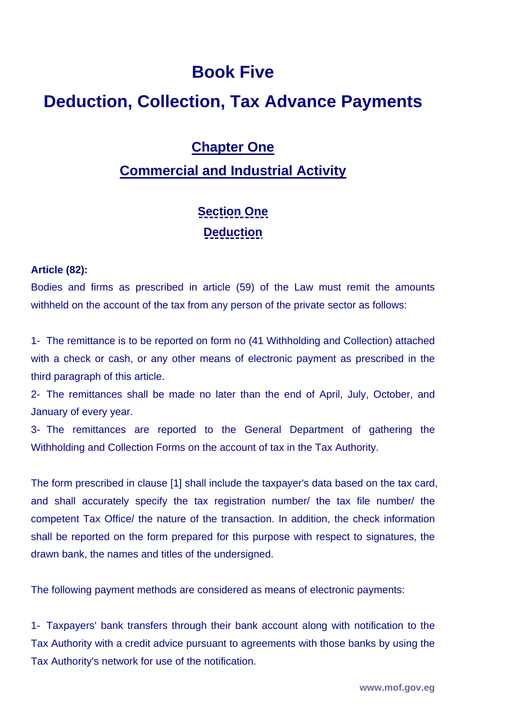## **Book Five**

## **Deduction, Collection, Tax Advance Payments**

## **Chapter One**

## **Commercial and Industrial Activity**

## **Section One Deduction**

#### **Article (82):**

Bodies and firms as prescribed in article (59) of the Law must remit the amounts withheld on the account of the tax from any person of the private sector as follows:

1- The remittance is to be reported on form no (41 Withholding and Collection) attached with a check or cash, or any other means of electronic payment as prescribed in the third paragraph of this article.

2- The remittances shall be made no later than the end of April, July, October, and January of every year.

3- The remittances are reported to the General Department of gathering the Withholding and Collection Forms on the account of tax in the Tax Authority.

The form prescribed in clause [1] shall include the taxpayer's data based on the tax card, and shall accurately specify the tax registration number/ the tax file number/ the competent Tax Office/ the nature of the transaction. In addition, the check information shall be reported on the form prepared for this purpose with respect to signatures, the drawn bank, the names and titles of the undersigned.

The following payment methods are considered as means of electronic payments:

1- Taxpayers' bank transfers through their bank account along with notification to the Tax Authority with a credit advice pursuant to agreements with those banks by using the Tax Authority's network for use of the notification.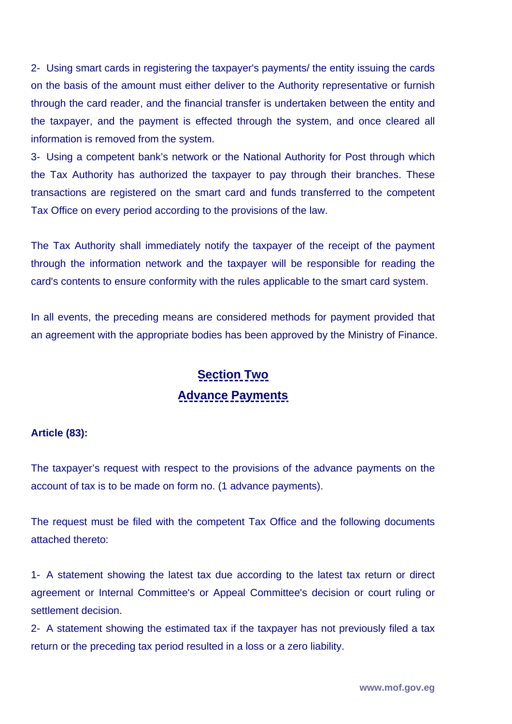2- Using smart cards in registering the taxpayer's payments/ the entity issuing the cards on the basis of the amount must either deliver to the Authority representative or furnish through the card reader, and the financial transfer is undertaken between the entity and the taxpayer, and the payment is effected through the system, and once cleared all information is removed from the system.

3- Using a competent bank's network or the National Authority for Post through which the Tax Authority has authorized the taxpayer to pay through their branches. These transactions are registered on the smart card and funds transferred to the competent Tax Office on every period according to the provisions of the law.

The Tax Authority shall immediately notify the taxpayer of the receipt of the payment through the information network and the taxpayer will be responsible for reading the card's contents to ensure conformity with the rules applicable to the smart card system.

In all events, the preceding means are considered methods for payment provided that an agreement with the appropriate bodies has been approved by the Ministry of Finance.

## **Section Two Advance Payments**

#### **Article (83):**

The taxpayer's request with respect to the provisions of the advance payments on the account of tax is to be made on form no. (1 advance payments).

The request must be filed with the competent Tax Office and the following documents attached thereto:

1- A statement showing the latest tax due according to the latest tax return or direct agreement or Internal Committee's or Appeal Committee's decision or court ruling or settlement decision.

2- A statement showing the estimated tax if the taxpayer has not previously filed a tax return or the preceding tax period resulted in a loss or a zero liability.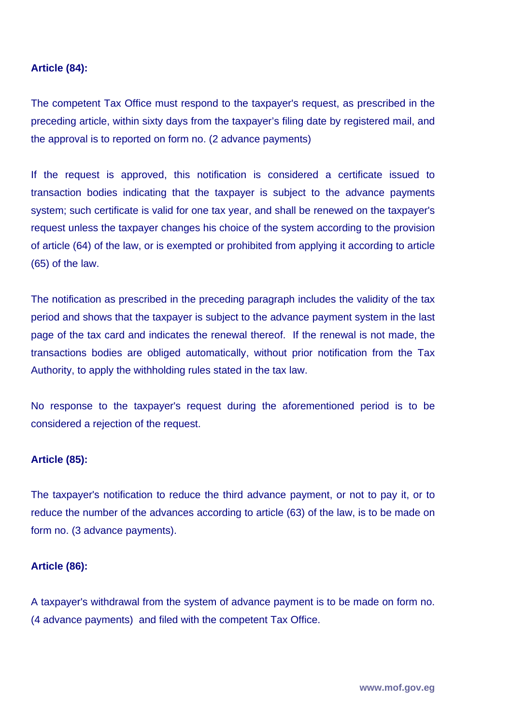### **Article (84):**

The competent Tax Office must respond to the taxpayer's request, as prescribed in the preceding article, within sixty days from the taxpayer's filing date by registered mail, and the approval is to reported on form no. (2 advance payments)

If the request is approved, this notification is considered a certificate issued to transaction bodies indicating that the taxpayer is subject to the advance payments system; such certificate is valid for one tax year, and shall be renewed on the taxpayer's request unless the taxpayer changes his choice of the system according to the provision of article (64) of the law, or is exempted or prohibited from applying it according to article (65) of the law.

The notification as prescribed in the preceding paragraph includes the validity of the tax period and shows that the taxpayer is subject to the advance payment system in the last page of the tax card and indicates the renewal thereof. If the renewal is not made, the transactions bodies are obliged automatically, without prior notification from the Tax Authority, to apply the withholding rules stated in the tax law.

No response to the taxpayer's request during the aforementioned period is to be considered a rejection of the request.

#### **Article (85):**

The taxpayer's notification to reduce the third advance payment, or not to pay it, or to reduce the number of the advances according to article (63) of the law, is to be made on form no. (3 advance payments).

#### **Article (86):**

A taxpayer's withdrawal from the system of advance payment is to be made on form no. (4 advance payments) and filed with the competent Tax Office.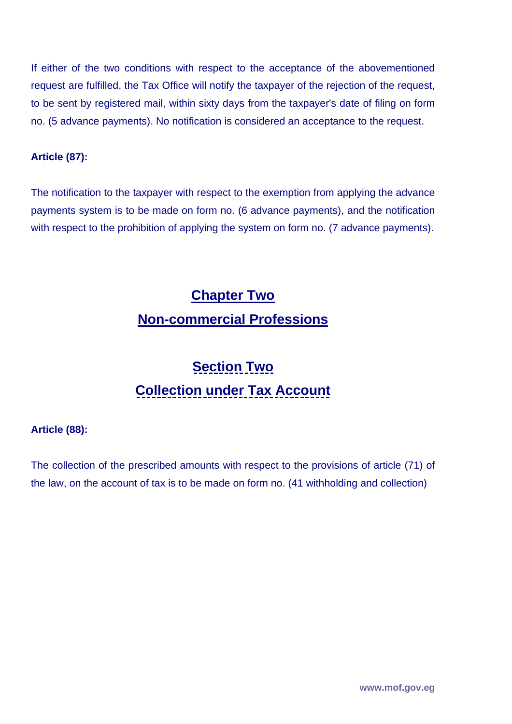If either of the two conditions with respect to the acceptance of the abovementioned request are fulfilled, the Tax Office will notify the taxpayer of the rejection of the request, to be sent by registered mail, within sixty days from the taxpayer's date of filing on form no. (5 advance payments). No notification is considered an acceptance to the request.

## **Article (87):**

The notification to the taxpayer with respect to the exemption from applying the advance payments system is to be made on form no. (6 advance payments), and the notification with respect to the prohibition of applying the system on form no. (7 advance payments).

## **Chapter Two Non-commercial Professions**

## **Section Two Collection under Tax Account**

## **Article (88):**

The collection of the prescribed amounts with respect to the provisions of article (71) of the law, on the account of tax is to be made on form no. (41 withholding and collection)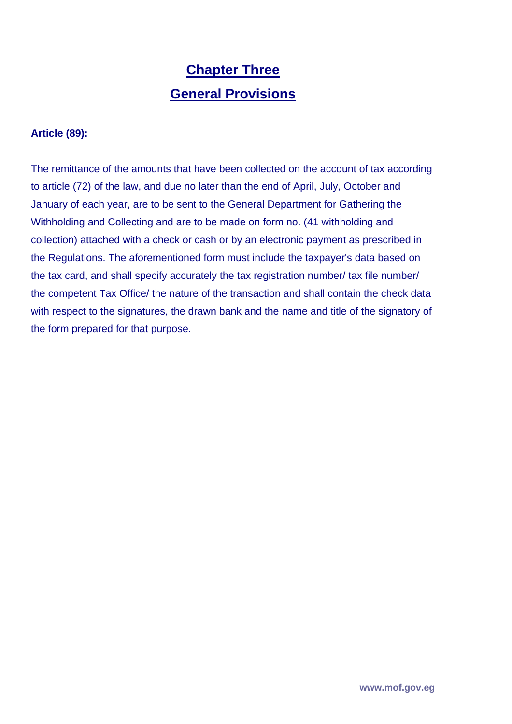## **Chapter Three General Provisions**

## **Article (89):**

The remittance of the amounts that have been collected on the account of tax according to article (72) of the law, and due no later than the end of April, July, October and January of each year, are to be sent to the General Department for Gathering the Withholding and Collecting and are to be made on form no. (41 withholding and collection) attached with a check or cash or by an electronic payment as prescribed in the Regulations. The aforementioned form must include the taxpayer's data based on the tax card, and shall specify accurately the tax registration number/ tax file number/ the competent Tax Office/ the nature of the transaction and shall contain the check data with respect to the signatures, the drawn bank and the name and title of the signatory of the form prepared for that purpose.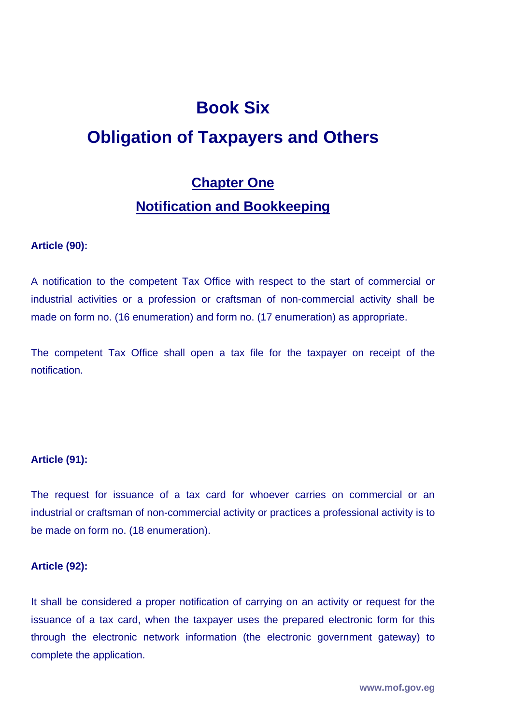## **Book Six**

## **Obligation of Taxpayers and Others**

## **Chapter One**

## **Notification and Bookkeeping**

### **Article (90):**

A notification to the competent Tax Office with respect to the start of commercial or industrial activities or a profession or craftsman of non-commercial activity shall be made on form no. (16 enumeration) and form no. (17 enumeration) as appropriate.

The competent Tax Office shall open a tax file for the taxpayer on receipt of the notification.

#### **Article (91):**

The request for issuance of a tax card for whoever carries on commercial or an industrial or craftsman of non-commercial activity or practices a professional activity is to be made on form no. (18 enumeration).

#### **Article (92):**

It shall be considered a proper notification of carrying on an activity or request for the issuance of a tax card, when the taxpayer uses the prepared electronic form for this through the electronic network information (the electronic government gateway) to complete the application.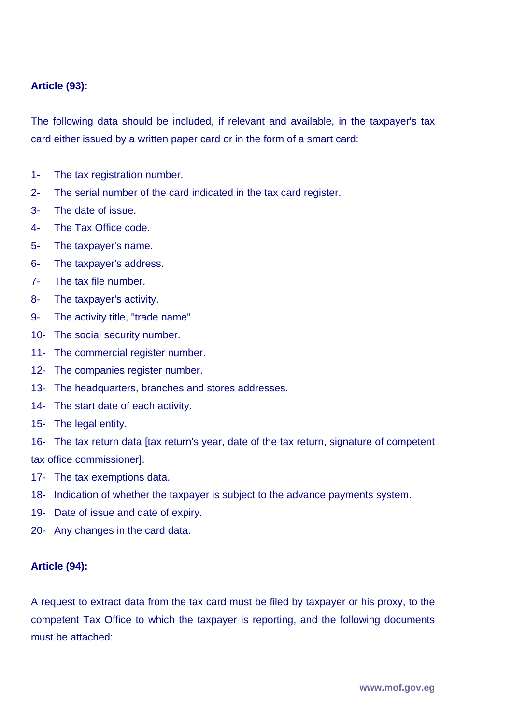## **Article (93):**

The following data should be included, if relevant and available, in the taxpayer's tax card either issued by a written paper card or in the form of a smart card:

- 1- The tax registration number.
- 2- The serial number of the card indicated in the tax card register.
- 3- The date of issue.
- 4- The Tax Office code.
- 5- The taxpayer's name.
- 6- The taxpayer's address.
- 7- The tax file number.
- 8- The taxpayer's activity.
- 9- The activity title, "trade name"
- 10- The social security number.
- 11- The commercial register number.
- 12- The companies register number.
- 13- The headquarters, branches and stores addresses.
- 14- The start date of each activity.
- 15- The legal entity.

16- The tax return data [tax return's year, date of the tax return, signature of competent tax office commissioner].

- 17- The tax exemptions data.
- 18- Indication of whether the taxpayer is subject to the advance payments system.
- 19- Date of issue and date of expiry.
- 20- Any changes in the card data.

#### **Article (94):**

A request to extract data from the tax card must be filed by taxpayer or his proxy, to the competent Tax Office to which the taxpayer is reporting, and the following documents must be attached: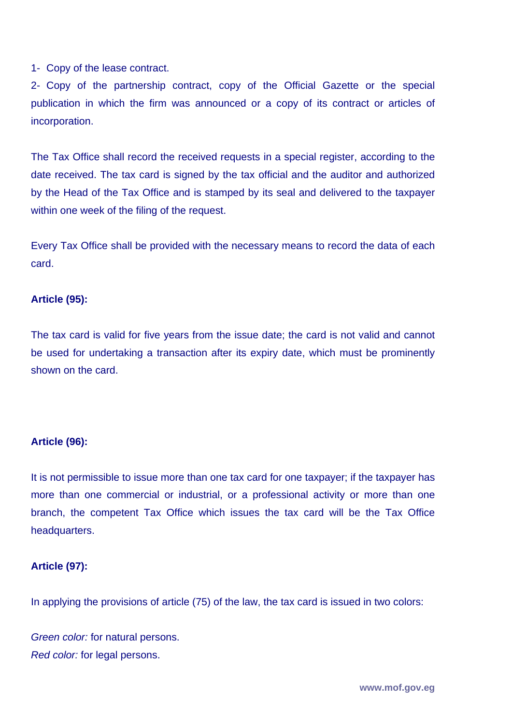1- Copy of the lease contract.

2- Copy of the partnership contract, copy of the Official Gazette or the special publication in which the firm was announced or a copy of its contract or articles of incorporation.

The Tax Office shall record the received requests in a special register, according to the date received. The tax card is signed by the tax official and the auditor and authorized by the Head of the Tax Office and is stamped by its seal and delivered to the taxpayer within one week of the filing of the request.

Every Tax Office shall be provided with the necessary means to record the data of each card.

### **Article (95):**

The tax card is valid for five years from the issue date; the card is not valid and cannot be used for undertaking a transaction after its expiry date, which must be prominently shown on the card.

#### **Article (96):**

It is not permissible to issue more than one tax card for one taxpayer; if the taxpayer has more than one commercial or industrial, or a professional activity or more than one branch, the competent Tax Office which issues the tax card will be the Tax Office headquarters.

#### **Article (97):**

In applying the provisions of article (75) of the law, the tax card is issued in two colors:

*Green color:* for natural persons. *Red color:* for legal persons.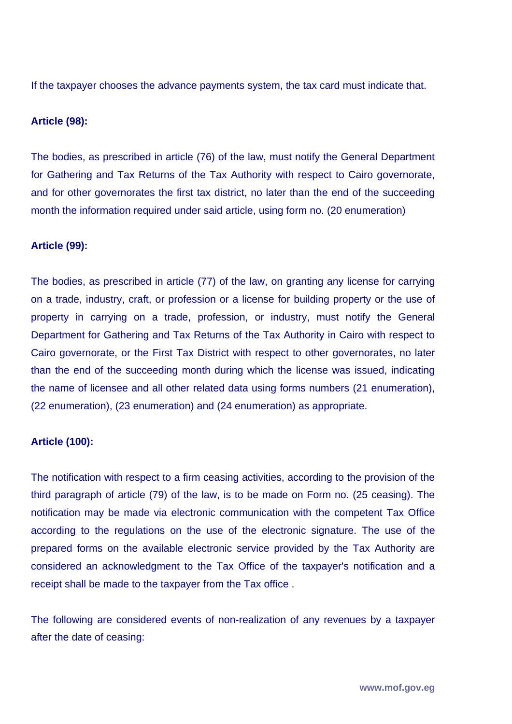If the taxpayer chooses the advance payments system, the tax card must indicate that.

#### **Article (98):**

The bodies, as prescribed in article (76) of the law, must notify the General Department for Gathering and Tax Returns of the Tax Authority with respect to Cairo governorate, and for other governorates the first tax district, no later than the end of the succeeding month the information required under said article, using form no. (20 enumeration)

#### **Article (99):**

The bodies, as prescribed in article (77) of the law, on granting any license for carrying on a trade, industry, craft, or profession or a license for building property or the use of property in carrying on a trade, profession, or industry, must notify the General Department for Gathering and Tax Returns of the Tax Authority in Cairo with respect to Cairo governorate, or the First Tax District with respect to other governorates, no later than the end of the succeeding month during which the license was issued, indicating the name of licensee and all other related data using forms numbers (21 enumeration), (22 enumeration), (23 enumeration) and (24 enumeration) as appropriate.

#### **Article (100):**

The notification with respect to a firm ceasing activities, according to the provision of the third paragraph of article (79) of the law, is to be made on Form no. (25 ceasing). The notification may be made via electronic communication with the competent Tax Office according to the regulations on the use of the electronic signature. The use of the prepared forms on the available electronic service provided by the Tax Authority are considered an acknowledgment to the Tax Office of the taxpayer's notification and a receipt shall be made to the taxpayer from the Tax office .

The following are considered events of non-realization of any revenues by a taxpayer after the date of ceasing: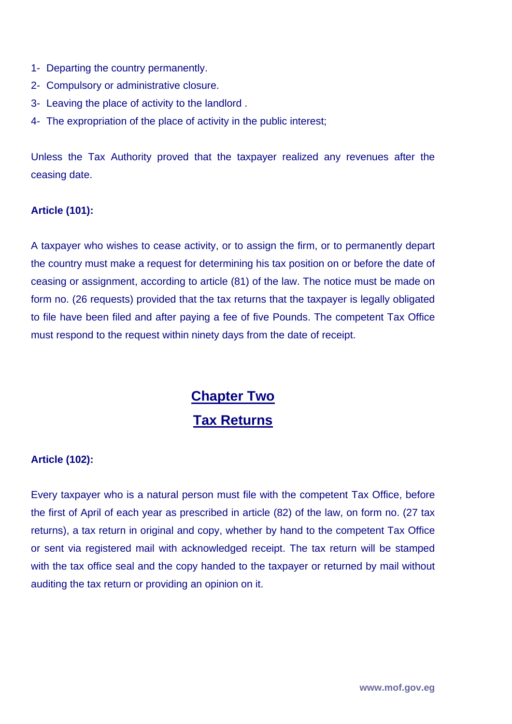- 1- Departing the country permanently.
- 2- Compulsory or administrative closure.
- 3- Leaving the place of activity to the landlord .
- 4- The expropriation of the place of activity in the public interest;

Unless the Tax Authority proved that the taxpayer realized any revenues after the ceasing date.

### **Article (101):**

A taxpayer who wishes to cease activity, or to assign the firm, or to permanently depart the country must make a request for determining his tax position on or before the date of ceasing or assignment, according to article (81) of the law. The notice must be made on form no. (26 requests) provided that the tax returns that the taxpayer is legally obligated to file have been filed and after paying a fee of five Pounds. The competent Tax Office must respond to the request within ninety days from the date of receipt.

## **Chapter Two Tax Returns**

#### **Article (102):**

Every taxpayer who is a natural person must file with the competent Tax Office, before the first of April of each year as prescribed in article (82) of the law, on form no. (27 tax returns), a tax return in original and copy, whether by hand to the competent Tax Office or sent via registered mail with acknowledged receipt. The tax return will be stamped with the tax office seal and the copy handed to the taxpayer or returned by mail without auditing the tax return or providing an opinion on it.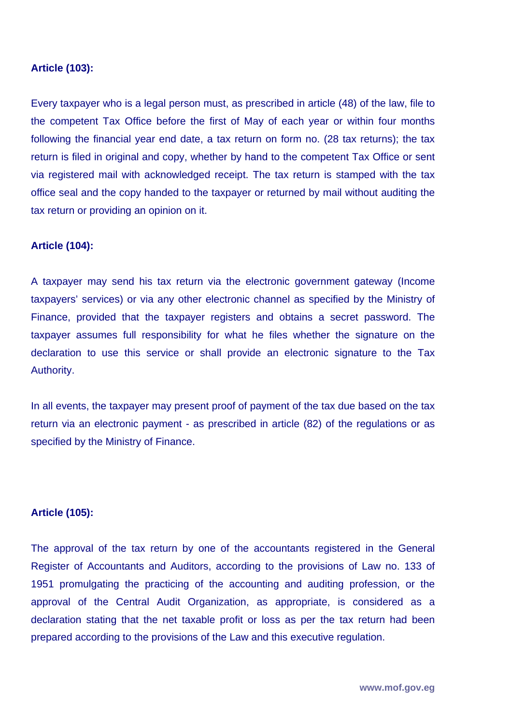#### **Article (103):**

Every taxpayer who is a legal person must, as prescribed in article (48) of the law, file to the competent Tax Office before the first of May of each year or within four months following the financial year end date, a tax return on form no. (28 tax returns); the tax return is filed in original and copy, whether by hand to the competent Tax Office or sent via registered mail with acknowledged receipt. The tax return is stamped with the tax office seal and the copy handed to the taxpayer or returned by mail without auditing the tax return or providing an opinion on it.

#### **Article (104):**

A taxpayer may send his tax return via the electronic government gateway (Income taxpayers' services) or via any other electronic channel as specified by the Ministry of Finance, provided that the taxpayer registers and obtains a secret password. The taxpayer assumes full responsibility for what he files whether the signature on the declaration to use this service or shall provide an electronic signature to the Tax Authority.

In all events, the taxpayer may present proof of payment of the tax due based on the tax return via an electronic payment - as prescribed in article (82) of the regulations or as specified by the Ministry of Finance.

#### **Article (105):**

The approval of the tax return by one of the accountants registered in the General Register of Accountants and Auditors, according to the provisions of Law no. 133 of 1951 promulgating the practicing of the accounting and auditing profession, or the approval of the Central Audit Organization, as appropriate, is considered as a declaration stating that the net taxable profit or loss as per the tax return had been prepared according to the provisions of the Law and this executive regulation.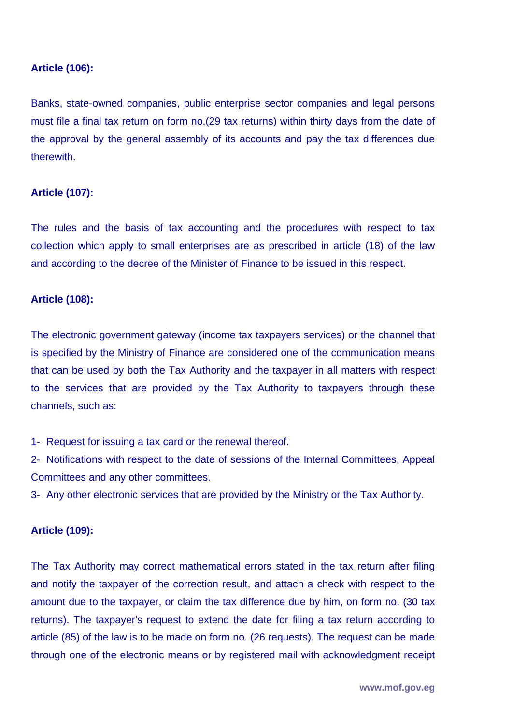#### **Article (106):**

Banks, state-owned companies, public enterprise sector companies and legal persons must file a final tax return on form no.(29 tax returns) within thirty days from the date of the approval by the general assembly of its accounts and pay the tax differences due therewith.

### **Article (107):**

The rules and the basis of tax accounting and the procedures with respect to tax collection which apply to small enterprises are as prescribed in article (18) of the law and according to the decree of the Minister of Finance to be issued in this respect.

### **Article (108):**

The electronic government gateway (income tax taxpayers services) or the channel that is specified by the Ministry of Finance are considered one of the communication means that can be used by both the Tax Authority and the taxpayer in all matters with respect to the services that are provided by the Tax Authority to taxpayers through these channels, such as:

1- Request for issuing a tax card or the renewal thereof.

2- Notifications with respect to the date of sessions of the Internal Committees, Appeal Committees and any other committees.

3- Any other electronic services that are provided by the Ministry or the Tax Authority.

#### **Article (109):**

The Tax Authority may correct mathematical errors stated in the tax return after filing and notify the taxpayer of the correction result, and attach a check with respect to the amount due to the taxpayer, or claim the tax difference due by him, on form no. (30 tax returns). The taxpayer's request to extend the date for filing a tax return according to article (85) of the law is to be made on form no. (26 requests). The request can be made through one of the electronic means or by registered mail with acknowledgment receipt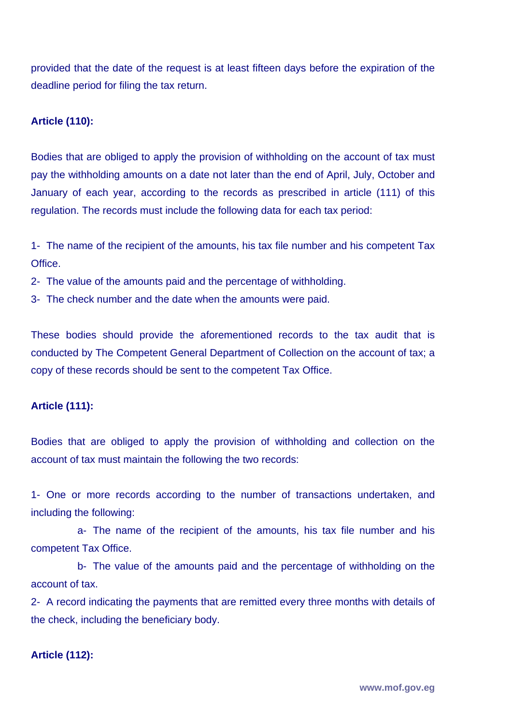provided that the date of the request is at least fifteen days before the expiration of the deadline period for filing the tax return.

### **Article (110):**

Bodies that are obliged to apply the provision of withholding on the account of tax must pay the withholding amounts on a date not later than the end of April, July, October and January of each year, according to the records as prescribed in article (111) of this regulation. The records must include the following data for each tax period:

1- The name of the recipient of the amounts, his tax file number and his competent Tax Office.

2- The value of the amounts paid and the percentage of withholding.

3- The check number and the date when the amounts were paid.

These bodies should provide the aforementioned records to the tax audit that is conducted by The Competent General Department of Collection on the account of tax; a copy of these records should be sent to the competent Tax Office.

## **Article (111):**

Bodies that are obliged to apply the provision of withholding and collection on the account of tax must maintain the following the two records:

1- One or more records according to the number of transactions undertaken, and including the following:

a- The name of the recipient of the amounts, his tax file number and his competent Tax Office.

b- The value of the amounts paid and the percentage of withholding on the account of tax.

2- A record indicating the payments that are remitted every three months with details of the check, including the beneficiary body.

#### **Article (112):**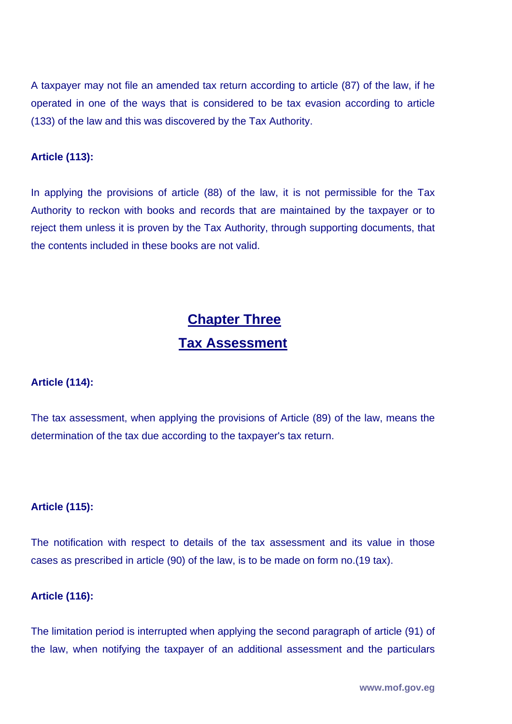A taxpayer may not file an amended tax return according to article (87) of the law, if he operated in one of the ways that is considered to be tax evasion according to article (133) of the law and this was discovered by the Tax Authority.

#### **Article (113):**

In applying the provisions of article (88) of the law, it is not permissible for the Tax Authority to reckon with books and records that are maintained by the taxpayer or to reject them unless it is proven by the Tax Authority, through supporting documents, that the contents included in these books are not valid.

## **Chapter Three Tax Assessment**

#### **Article (114):**

The tax assessment, when applying the provisions of Article (89) of the law, means the determination of the tax due according to the taxpayer's tax return.

#### **Article (115):**

The notification with respect to details of the tax assessment and its value in those cases as prescribed in article (90) of the law, is to be made on form no.(19 tax).

#### **Article (116):**

The limitation period is interrupted when applying the second paragraph of article (91) of the law, when notifying the taxpayer of an additional assessment and the particulars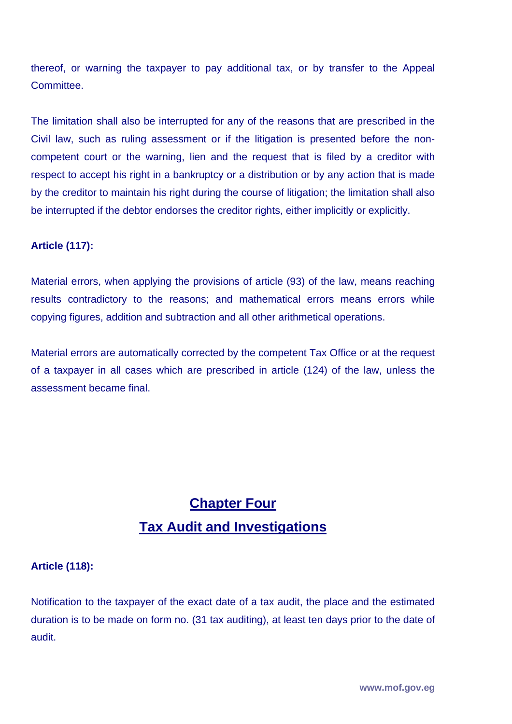thereof, or warning the taxpayer to pay additional tax, or by transfer to the Appeal **Committee.** 

The limitation shall also be interrupted for any of the reasons that are prescribed in the Civil law, such as ruling assessment or if the litigation is presented before the noncompetent court or the warning, lien and the request that is filed by a creditor with respect to accept his right in a bankruptcy or a distribution or by any action that is made by the creditor to maintain his right during the course of litigation; the limitation shall also be interrupted if the debtor endorses the creditor rights, either implicitly or explicitly.

### **Article (117):**

Material errors, when applying the provisions of article (93) of the law, means reaching results contradictory to the reasons; and mathematical errors means errors while copying figures, addition and subtraction and all other arithmetical operations.

Material errors are automatically corrected by the competent Tax Office or at the request of a taxpayer in all cases which are prescribed in article (124) of the law, unless the assessment became final.

## **Chapter Four Tax Audit and Investigations**

#### **Article (118):**

Notification to the taxpayer of the exact date of a tax audit, the place and the estimated duration is to be made on form no. (31 tax auditing), at least ten days prior to the date of audit.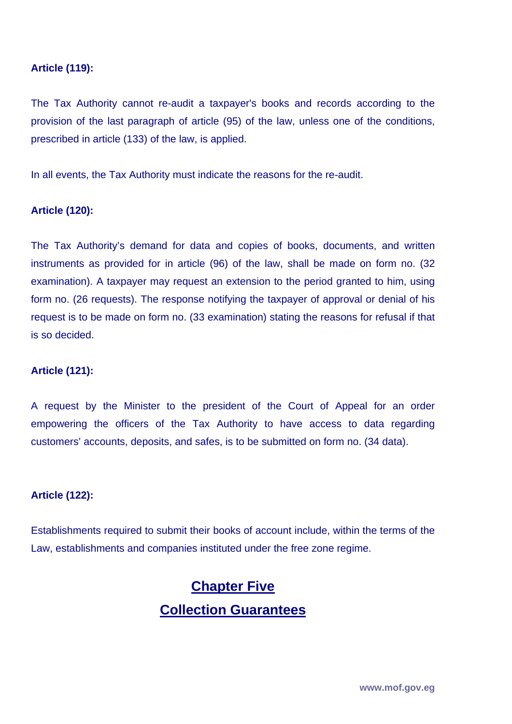### **Article (119):**

The Tax Authority cannot re-audit a taxpayer's books and records according to the provision of the last paragraph of article (95) of the law, unless one of the conditions, prescribed in article (133) of the law, is applied.

In all events, the Tax Authority must indicate the reasons for the re-audit.

#### **Article (120):**

The Tax Authority's demand for data and copies of books, documents, and written instruments as provided for in article (96) of the law, shall be made on form no. (32 examination). A taxpayer may request an extension to the period granted to him, using form no. (26 requests). The response notifying the taxpayer of approval or denial of his request is to be made on form no. (33 examination) stating the reasons for refusal if that is so decided.

#### **Article (121):**

A request by the Minister to the president of the Court of Appeal for an order empowering the officers of the Tax Authority to have access to data regarding customers' accounts, deposits, and safes, is to be submitted on form no. (34 data).

#### **Article (122):**

Establishments required to submit their books of account include, within the terms of the Law, establishments and companies instituted under the free zone regime.

## **Chapter Five Collection Guarantees**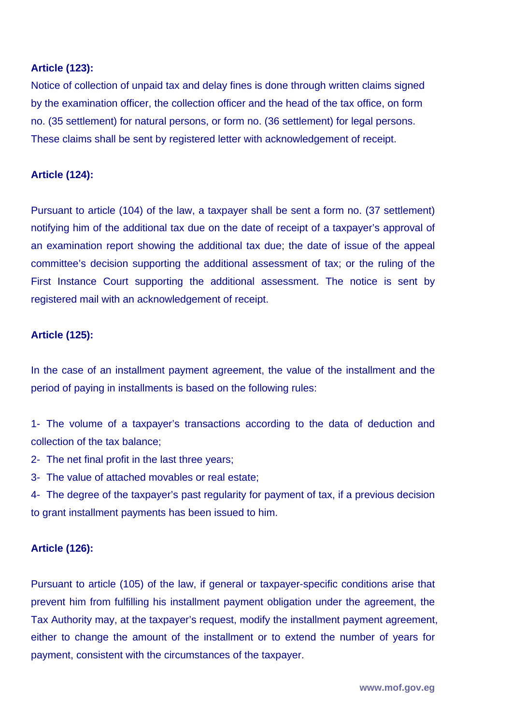### **Article (123):**

Notice of collection of unpaid tax and delay fines is done through written claims signed by the examination officer, the collection officer and the head of the tax office, on form no. (35 settlement) for natural persons, or form no. (36 settlement) for legal persons. These claims shall be sent by registered letter with acknowledgement of receipt.

### **Article (124):**

Pursuant to article (104) of the law, a taxpayer shall be sent a form no. (37 settlement) notifying him of the additional tax due on the date of receipt of a taxpayer's approval of an examination report showing the additional tax due; the date of issue of the appeal committee's decision supporting the additional assessment of tax; or the ruling of the First Instance Court supporting the additional assessment. The notice is sent by registered mail with an acknowledgement of receipt.

### **Article (125):**

In the case of an installment payment agreement, the value of the installment and the period of paying in installments is based on the following rules:

1- The volume of a taxpayer's transactions according to the data of deduction and collection of the tax balance;

2- The net final profit in the last three years;

3- The value of attached movables or real estate;

4- The degree of the taxpayer's past regularity for payment of tax, if a previous decision to grant installment payments has been issued to him.

#### **Article (126):**

Pursuant to article (105) of the law, if general or taxpayer-specific conditions arise that prevent him from fulfilling his installment payment obligation under the agreement, the Tax Authority may, at the taxpayer's request, modify the installment payment agreement, either to change the amount of the installment or to extend the number of years for payment, consistent with the circumstances of the taxpayer.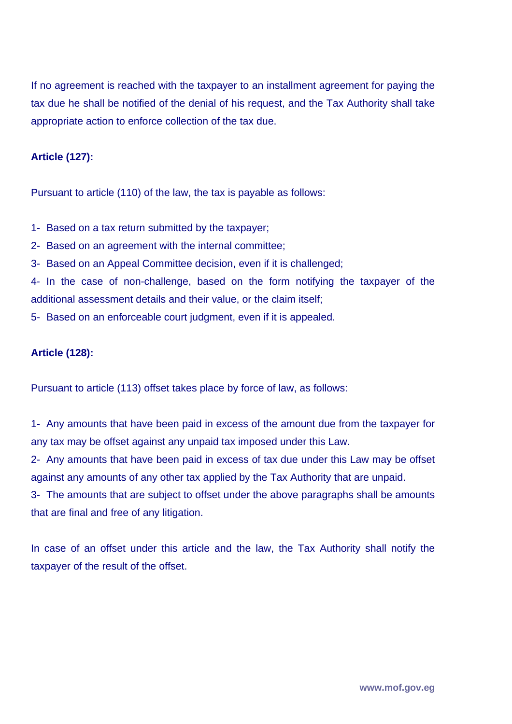If no agreement is reached with the taxpayer to an installment agreement for paying the tax due he shall be notified of the denial of his request, and the Tax Authority shall take appropriate action to enforce collection of the tax due.

### **Article (127):**

Pursuant to article (110) of the law, the tax is payable as follows:

- 1- Based on a tax return submitted by the taxpayer;
- 2- Based on an agreement with the internal committee;
- 3- Based on an Appeal Committee decision, even if it is challenged;

4- In the case of non-challenge, based on the form notifying the taxpayer of the additional assessment details and their value, or the claim itself;

5- Based on an enforceable court judgment, even if it is appealed.

#### **Article (128):**

Pursuant to article (113) offset takes place by force of law, as follows:

1- Any amounts that have been paid in excess of the amount due from the taxpayer for any tax may be offset against any unpaid tax imposed under this Law.

2- Any amounts that have been paid in excess of tax due under this Law may be offset against any amounts of any other tax applied by the Tax Authority that are unpaid.

3- The amounts that are subject to offset under the above paragraphs shall be amounts that are final and free of any litigation.

In case of an offset under this article and the law, the Tax Authority shall notify the taxpayer of the result of the offset.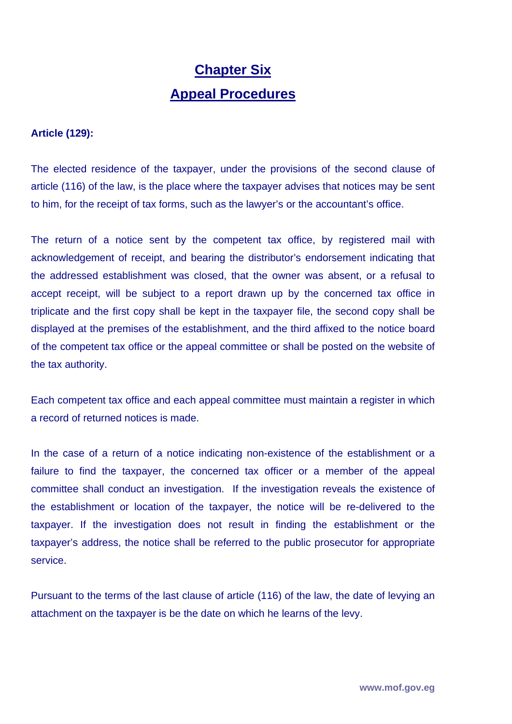## **Chapter Six Appeal Procedures**

### **Article (129):**

The elected residence of the taxpayer, under the provisions of the second clause of article (116) of the law, is the place where the taxpayer advises that notices may be sent to him, for the receipt of tax forms, such as the lawyer's or the accountant's office.

The return of a notice sent by the competent tax office, by registered mail with acknowledgement of receipt, and bearing the distributor's endorsement indicating that the addressed establishment was closed, that the owner was absent, or a refusal to accept receipt, will be subject to a report drawn up by the concerned tax office in triplicate and the first copy shall be kept in the taxpayer file, the second copy shall be displayed at the premises of the establishment, and the third affixed to the notice board of the competent tax office or the appeal committee or shall be posted on the website of the tax authority.

Each competent tax office and each appeal committee must maintain a register in which a record of returned notices is made.

In the case of a return of a notice indicating non-existence of the establishment or a failure to find the taxpayer, the concerned tax officer or a member of the appeal committee shall conduct an investigation. If the investigation reveals the existence of the establishment or location of the taxpayer, the notice will be re-delivered to the taxpayer. If the investigation does not result in finding the establishment or the taxpayer's address, the notice shall be referred to the public prosecutor for appropriate service.

Pursuant to the terms of the last clause of article (116) of the law, the date of levying an attachment on the taxpayer is be the date on which he learns of the levy.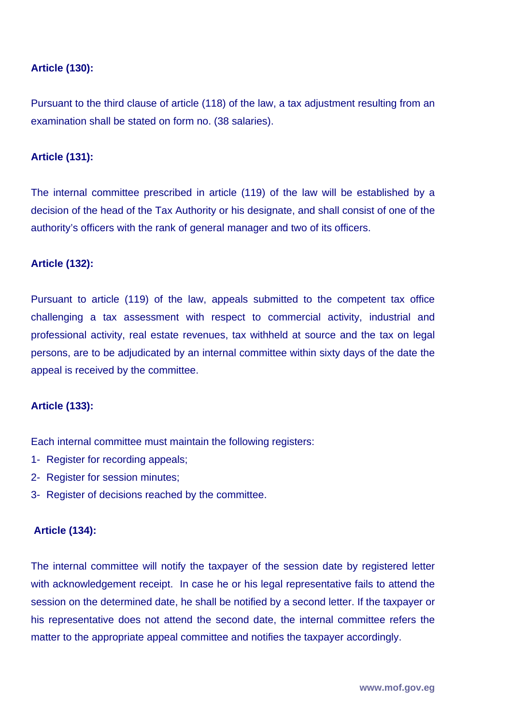### **Article (130):**

Pursuant to the third clause of article (118) of the law, a tax adjustment resulting from an examination shall be stated on form no. (38 salaries).

#### **Article (131):**

The internal committee prescribed in article (119) of the law will be established by a decision of the head of the Tax Authority or his designate, and shall consist of one of the authority's officers with the rank of general manager and two of its officers.

#### **Article (132):**

Pursuant to article (119) of the law, appeals submitted to the competent tax office challenging a tax assessment with respect to commercial activity, industrial and professional activity, real estate revenues, tax withheld at source and the tax on legal persons, are to be adjudicated by an internal committee within sixty days of the date the appeal is received by the committee.

#### **Article (133):**

Each internal committee must maintain the following registers:

- 1- Register for recording appeals;
- 2- Register for session minutes;
- 3- Register of decisions reached by the committee.

### **Article (134):**

The internal committee will notify the taxpayer of the session date by registered letter with acknowledgement receipt. In case he or his legal representative fails to attend the session on the determined date, he shall be notified by a second letter. If the taxpayer or his representative does not attend the second date, the internal committee refers the matter to the appropriate appeal committee and notifies the taxpayer accordingly.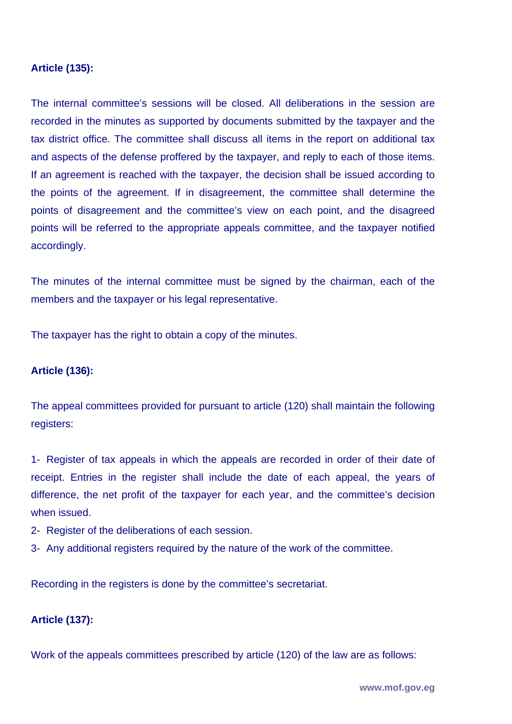### **Article (135):**

The internal committee's sessions will be closed. All deliberations in the session are recorded in the minutes as supported by documents submitted by the taxpayer and the tax district office. The committee shall discuss all items in the report on additional tax and aspects of the defense proffered by the taxpayer, and reply to each of those items. If an agreement is reached with the taxpayer, the decision shall be issued according to the points of the agreement. If in disagreement, the committee shall determine the points of disagreement and the committee's view on each point, and the disagreed points will be referred to the appropriate appeals committee, and the taxpayer notified accordingly.

The minutes of the internal committee must be signed by the chairman, each of the members and the taxpayer or his legal representative.

The taxpayer has the right to obtain a copy of the minutes.

#### **Article (136):**

The appeal committees provided for pursuant to article (120) shall maintain the following registers:

1- Register of tax appeals in which the appeals are recorded in order of their date of receipt. Entries in the register shall include the date of each appeal, the years of difference, the net profit of the taxpayer for each year, and the committee's decision when issued.

- 2- Register of the deliberations of each session.
- 3- Any additional registers required by the nature of the work of the committee.

Recording in the registers is done by the committee's secretariat.

#### **Article (137):**

Work of the appeals committees prescribed by article (120) of the law are as follows: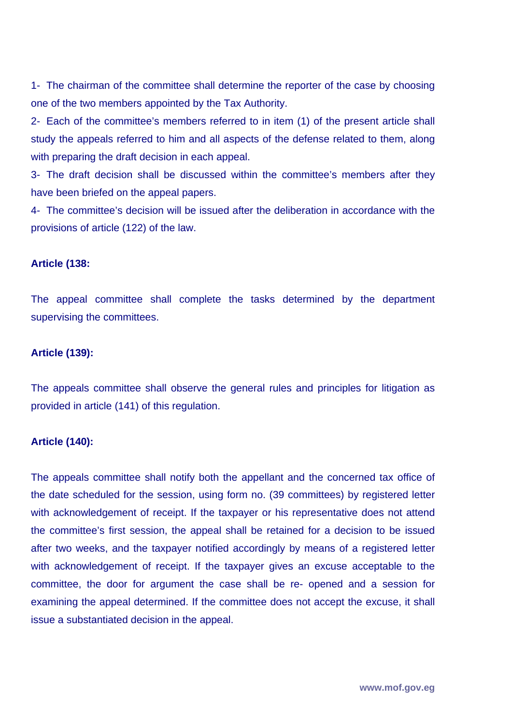1- The chairman of the committee shall determine the reporter of the case by choosing one of the two members appointed by the Tax Authority.

2- Each of the committee's members referred to in item (1) of the present article shall study the appeals referred to him and all aspects of the defense related to them, along with preparing the draft decision in each appeal.

3- The draft decision shall be discussed within the committee's members after they have been briefed on the appeal papers.

4- The committee's decision will be issued after the deliberation in accordance with the provisions of article (122) of the law.

#### **Article (138:**

The appeal committee shall complete the tasks determined by the department supervising the committees.

#### **Article (139):**

The appeals committee shall observe the general rules and principles for litigation as provided in article (141) of this regulation.

#### **Article (140):**

The appeals committee shall notify both the appellant and the concerned tax office of the date scheduled for the session, using form no. (39 committees) by registered letter with acknowledgement of receipt. If the taxpayer or his representative does not attend the committee's first session, the appeal shall be retained for a decision to be issued after two weeks, and the taxpayer notified accordingly by means of a registered letter with acknowledgement of receipt. If the taxpayer gives an excuse acceptable to the committee, the door for argument the case shall be re- opened and a session for examining the appeal determined. If the committee does not accept the excuse, it shall issue a substantiated decision in the appeal.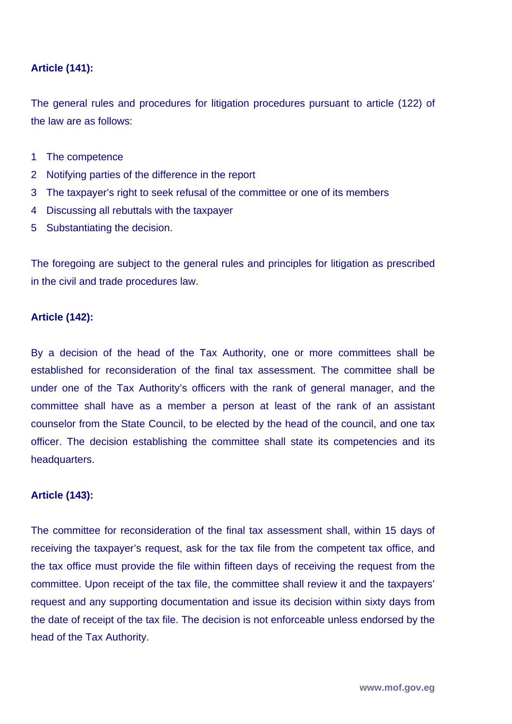## **Article (141):**

The general rules and procedures for litigation procedures pursuant to article (122) of the law are as follows:

- 1 The competence
- 2 Notifying parties of the difference in the report
- 3 The taxpayer's right to seek refusal of the committee or one of its members
- 4 Discussing all rebuttals with the taxpayer
- 5 Substantiating the decision.

The foregoing are subject to the general rules and principles for litigation as prescribed in the civil and trade procedures law.

#### **Article (142):**

By a decision of the head of the Tax Authority, one or more committees shall be established for reconsideration of the final tax assessment. The committee shall be under one of the Tax Authority's officers with the rank of general manager, and the committee shall have as a member a person at least of the rank of an assistant counselor from the State Council, to be elected by the head of the council, and one tax officer. The decision establishing the committee shall state its competencies and its headquarters.

#### **Article (143):**

The committee for reconsideration of the final tax assessment shall, within 15 days of receiving the taxpayer's request, ask for the tax file from the competent tax office, and the tax office must provide the file within fifteen days of receiving the request from the committee. Upon receipt of the tax file, the committee shall review it and the taxpayers' request and any supporting documentation and issue its decision within sixty days from the date of receipt of the tax file. The decision is not enforceable unless endorsed by the head of the Tax Authority.